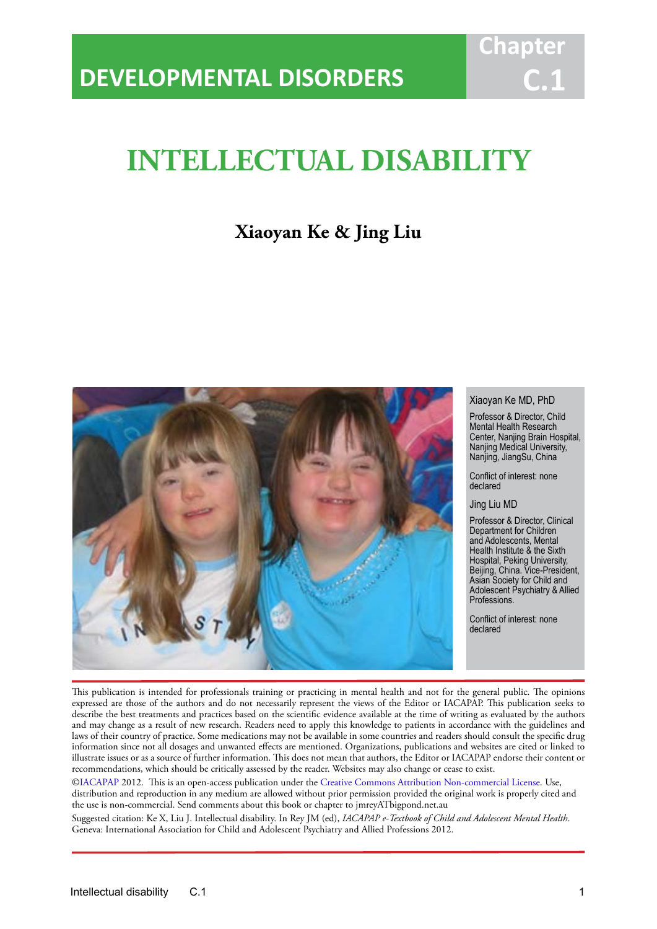# **INTELLECTUAL DISABILITY**

IACAPAP Textbook of Child and Adolescent Mental Health

## **Xiaoyan Ke & Jing Liu**



#### Xiaoyan Ke MD, PhD

**Chap** 

**C.1**

Professor & Director, Child Mental Health Research Center, Nanjing Brain Hospital, Nanjing Medical University, Nanjing, JiangSu, China

Conflict of interest: none declared

Jing Liu MD

Professor & Director, Clinical Department for Children and Adolescents, Mental Health Institute & the Sixth Hospital, Peking University, Beijing, China. Vice-President, Asian Society for Child and Adolescent Psychiatry & Allied Professions.

Conflict of interest: none declared

This publication is intended for professionals training or practicing in mental health and not for the general public. The opinions expressed are those of the authors and do not necessarily represent the views of the Editor or IACAPAP. This publication seeks to describe the best treatments and practices based on the scientific evidence available at the time of writing as evaluated by the authors and may change as a result of new research. Readers need to apply this knowledge to patients in accordance with the guidelines and laws of their country of practice. Some medications may not be available in some countries and readers should consult the specific drug information since not all dosages and unwanted effects are mentioned. Organizations, publications and websites are cited or linked to illustrate issues or as a source of further information. This does not mean that authors, the Editor or IACAPAP endorse their content or recommendations, which should be critically assessed by the reader. Websites may also change or cease to exist.

[©IACAPAP](http://iacapap.org/) 2012. This is an open-access publication under the [Creative Commons Attribution Non-commercial License](http://creativecommons.org/licenses/by-nc/2.0/). Use, distribution and reproduction in any medium are allowed without prior permission provided the original work is properly cited and the use is non-commercial. Send comments about this book or chapter to jmreyATbigpond.net.au

Suggested citation: Ke X, Liu J. Intellectual disability. In Rey JM (ed), *IACAPAP e-Textbook of Child and Adolescent Mental Health*. Geneva: International Association for Child and Adolescent Psychiatry and Allied Professions 2012.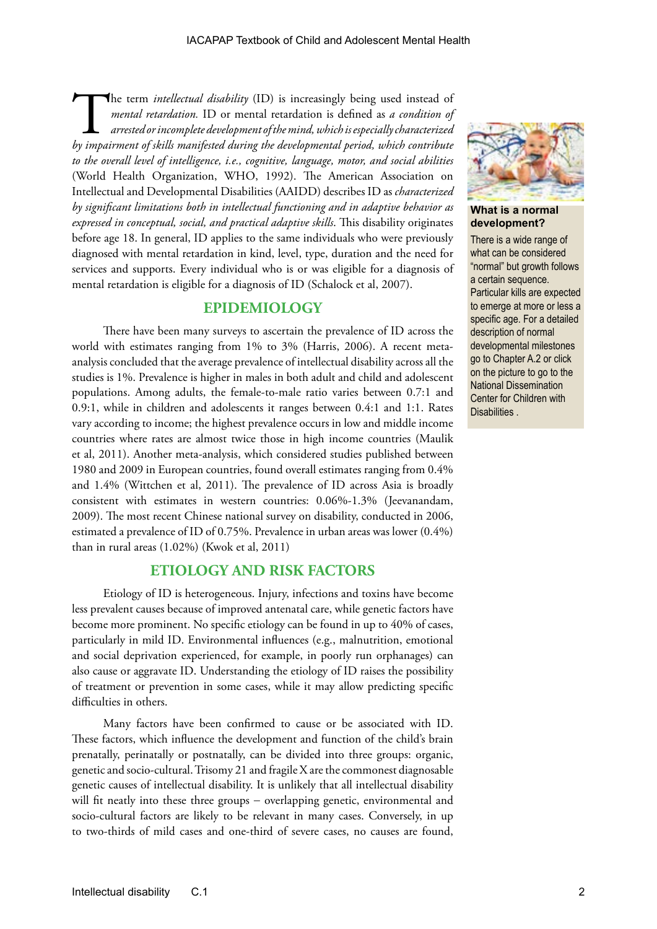The term *intellectual disability* (ID) is increasingly being used instead of *mental retardation*. ID or mental retardation is defined as *a condition of arrested or incomplete development of the mind, which is especial mental retardation.* ID or mental retardation is defined as *a condition of arrested or incomplete development of the mind, which is especially characterized by impairment of skills manifested during the developmental period, which contribute to the overall level of intelligence, i.e., cognitive, language, motor, and social abilities* (World Health Organization, WHO, 1992). The American Association on Intellectual and Developmental Disabilities (AAIDD) describes ID as *characterized by significant limitations both in intellectual functioning and in adaptive behavior as expressed in conceptual, social, and practical adaptive skills*. This disability originates before age 18. In general, ID applies to the same individuals who were previously diagnosed with mental retardation in kind, level, type, duration and the need for services and supports. Every individual who is or was eligible for a diagnosis of mental retardation is eligible for a diagnosis of ID (Schalock et al, 2007).

### **EPIDEMIOLOGY**

There have been many surveys to ascertain the prevalence of ID across the world with estimates ranging from 1% to 3% (Harris, 2006). A recent metaanalysis concluded that the average prevalence of intellectual disability across all the studies is 1%. Prevalence is higher in males in both adult and child and adolescent populations. Among adults, the female-to-male ratio varies between 0.7:1 and 0.9:1, while in children and adolescents it ranges between 0.4:1 and 1:1. Rates vary according to income; the highest prevalence occurs in low and middle income countries where rates are almost twice those in high income countries (Maulik et al, 2011). Another meta-analysis, which considered studies published between 1980 and 2009 in European countries, found overall estimates ranging from 0.4% and 1.4% (Wittchen et al, 2011). The prevalence of ID across Asia is broadly consistent with estimates in western countries: 0.06%-1.3% (Jeevanandam, 2009). The most recent Chinese national survey on disability, conducted in 2006, estimated a prevalence of ID of 0.75%. Prevalence in urban areas was lower (0.4%) than in rural areas (1.02%) (Kwok et al, 2011)

### **ETIOLOGY AND RISK FACTORS**

Etiology of ID is heterogeneous. Injury, infections and toxins have become less prevalent causes because of improved antenatal care, while genetic factors have become more prominent. No specific etiology can be found in up to 40% of cases, particularly in mild ID. Environmental influences (e.g., malnutrition, emotional and social deprivation experienced, for example, in poorly run orphanages) can also cause or aggravate ID. Understanding the etiology of ID raises the possibility of treatment or prevention in some cases, while it may allow predicting specific difficulties in others.

Many factors have been confirmed to cause or be associated with ID. These factors, which influence the development and function of the child's brain prenatally, perinatally or postnatally, can be divided into three groups: organic, genetic and socio-cultural. Trisomy 21 and fragile X are the commonest diagnosable genetic causes of intellectual disability. It is unlikely that all intellectual disability will fit neatly into these three groups – overlapping genetic, environmental and socio-cultural factors are likely to be relevant in many cases. Conversely, in up to two-thirds of mild cases and one-third of severe cases, no causes are found,



**What is a normal development?**

There is a wide range of what can be considered "normal" but growth follows a certain sequence. Particular kills are expected to emerge at more or less a specific age. For a detailed description of normal developmental milestones go to Chapter A.2 or click on the picture to go to the National Dissemination Center for Children with Disabilities .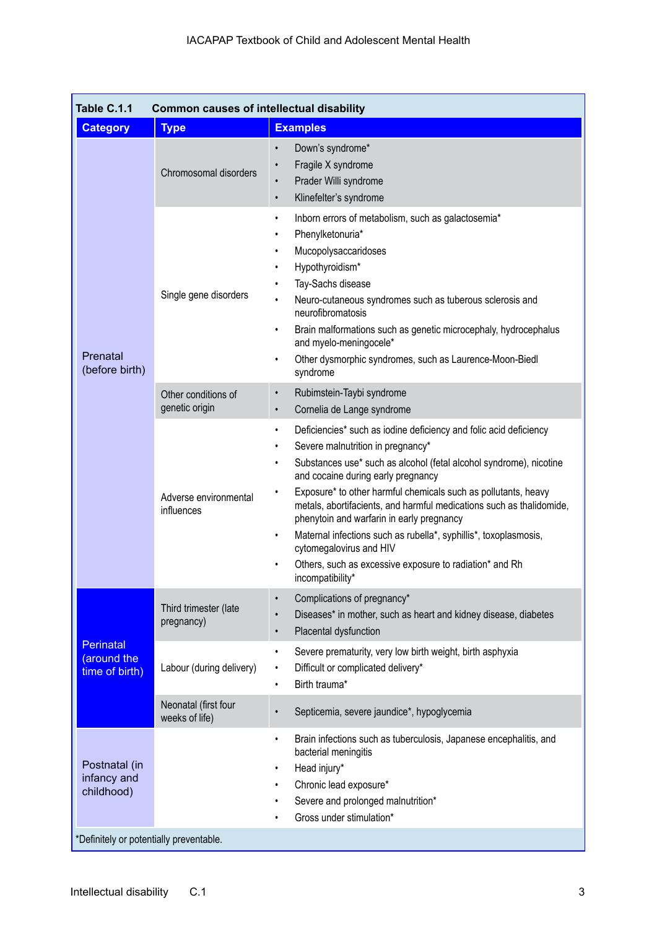| Table C.1.1<br><b>Common causes of intellectual disability</b>                        |                                        |                                                                                                                                                                                                                                                                                                                                                                                                                                                                                                                                                                                                                                             |  |  |
|---------------------------------------------------------------------------------------|----------------------------------------|---------------------------------------------------------------------------------------------------------------------------------------------------------------------------------------------------------------------------------------------------------------------------------------------------------------------------------------------------------------------------------------------------------------------------------------------------------------------------------------------------------------------------------------------------------------------------------------------------------------------------------------------|--|--|
| <b>Category</b>                                                                       | <b>Type</b>                            | <b>Examples</b>                                                                                                                                                                                                                                                                                                                                                                                                                                                                                                                                                                                                                             |  |  |
| Prenatal<br>(before birth)                                                            | Chromosomal disorders                  | Down's syndrome*<br>$\bullet$<br>Fragile X syndrome<br>$\bullet$<br>Prader Willi syndrome<br>$\bullet$<br>Klinefelter's syndrome<br>$\bullet$                                                                                                                                                                                                                                                                                                                                                                                                                                                                                               |  |  |
|                                                                                       | Single gene disorders                  | Inborn errors of metabolism, such as galactosemia*<br>$\bullet$<br>Phenylketonuria*<br>$\bullet$<br>Mucopolysaccaridoses<br>$\bullet$<br>Hypothyroidism*<br>$\bullet$<br>Tay-Sachs disease<br>Neuro-cutaneous syndromes such as tuberous sclerosis and<br>neurofibromatosis<br>Brain malformations such as genetic microcephaly, hydrocephalus<br>$\bullet$<br>and myelo-meningocele*<br>Other dysmorphic syndromes, such as Laurence-Moon-Biedl<br>syndrome                                                                                                                                                                                |  |  |
|                                                                                       | Other conditions of<br>genetic origin  | Rubimstein-Taybi syndrome<br>$\bullet$<br>Cornelia de Lange syndrome<br>$\bullet$                                                                                                                                                                                                                                                                                                                                                                                                                                                                                                                                                           |  |  |
|                                                                                       | Adverse environmental<br>influences    | Deficiencies* such as iodine deficiency and folic acid deficiency<br>$\bullet$<br>Severe malnutrition in pregnancy*<br>$\bullet$<br>Substances use* such as alcohol (fetal alcohol syndrome), nicotine<br>$\bullet$<br>and cocaine during early pregnancy<br>Exposure* to other harmful chemicals such as pollutants, heavy<br>metals, abortifacients, and harmful medications such as thalidomide,<br>phenytoin and warfarin in early pregnancy<br>Maternal infections such as rubella*, syphillis*, toxoplasmosis,<br>$\bullet$<br>cytomegalovirus and HIV<br>Others, such as excessive exposure to radiation* and Rh<br>incompatibility* |  |  |
| <b>Perinatal</b><br>(around the<br>time of birth)                                     | Third trimester (late<br>pregnancy)    | Complications of pregnancy*<br>$\bullet$<br>Diseases* in mother, such as heart and kidney disease, diabetes<br>$\bullet$<br>Placental dysfunction<br>$\bullet$                                                                                                                                                                                                                                                                                                                                                                                                                                                                              |  |  |
|                                                                                       | Labour (during delivery)               | Severe prematurity, very low birth weight, birth asphyxia<br>$\bullet$<br>Difficult or complicated delivery*<br>$\bullet$<br>Birth trauma*<br>$\bullet$                                                                                                                                                                                                                                                                                                                                                                                                                                                                                     |  |  |
|                                                                                       | Neonatal (first four<br>weeks of life) | Septicemia, severe jaundice*, hypoglycemia<br>$\bullet$                                                                                                                                                                                                                                                                                                                                                                                                                                                                                                                                                                                     |  |  |
| Postnatal (in<br>infancy and<br>childhood)<br>*Definitely or potentially preventable. |                                        | Brain infections such as tuberculosis, Japanese encephalitis, and<br>$\bullet$<br>bacterial meningitis<br>Head injury*<br>Chronic lead exposure*<br>Severe and prolonged malnutrition*<br>Gross under stimulation*                                                                                                                                                                                                                                                                                                                                                                                                                          |  |  |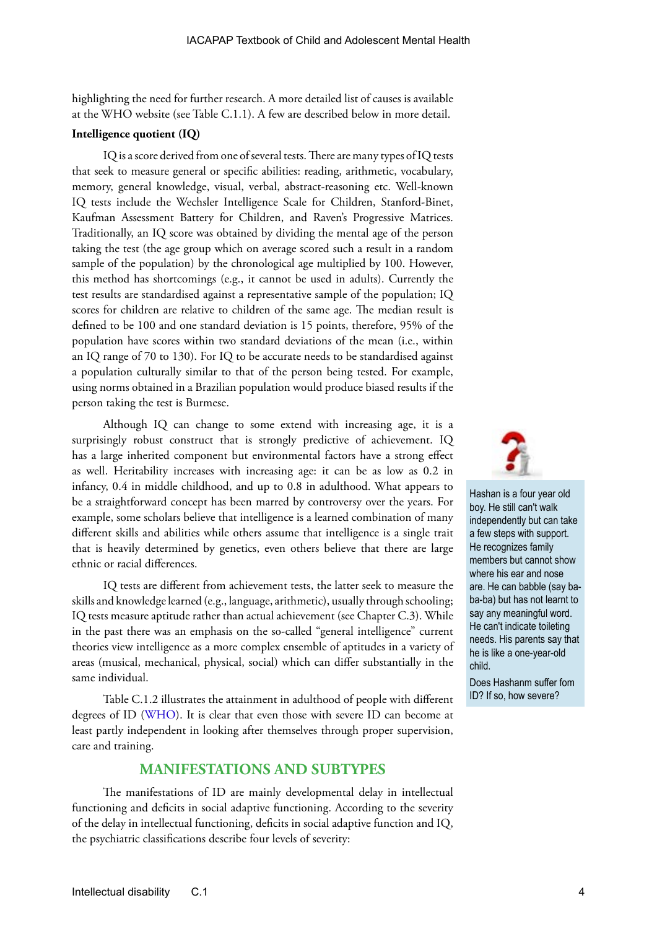highlighting the need for further research. A more detailed list of causes is available at the WHO website (see Table C.1.1). A few are described below in more detail.

### **Intelligence quotient (IQ)**

IQ is a score derived from one of several tests. There are many types of IQ tests that seek to measure general or specific abilities: reading, arithmetic, vocabulary, memory, general knowledge, visual, verbal, abstract-reasoning etc. Well-known IQ tests include the Wechsler Intelligence Scale for Children, Stanford-Binet, Kaufman Assessment Battery for Children, and Raven's Progressive Matrices. Traditionally, an IQ score was obtained by dividing the mental age of the person taking the test (the age group which on average scored such a result in a random sample of the population) by the chronological age multiplied by 100. However, this method has shortcomings (e.g., it cannot be used in adults). Currently the test results are standardised against a representative sample of the population; IQ scores for children are relative to children of the same age. The median result is defined to be 100 and one standard deviation is 15 points, therefore, 95% of the population have scores within two standard deviations of the mean (i.e., within an IQ range of 70 to 130). For IQ to be accurate needs to be standardised against a population culturally similar to that of the person being tested. For example, using norms obtained in a Brazilian population would produce biased results if the person taking the test is Burmese.

Although IQ can change to some extend with increasing age, it is a surprisingly robust construct that is strongly predictive of achievement. IQ has a large inherited component but environmental factors have a strong effect as well. Heritability increases with increasing age: it can be as low as 0.2 in infancy, 0.4 in middle childhood, and up to 0.8 in adulthood. What appears to be a straightforward concept has been marred by controversy over the years. For example, some scholars believe that intelligence is a learned combination of many different skills and abilities while others assume that intelligence is a single trait that is heavily determined by genetics, even others believe that there are large ethnic or racial differences.

IQ tests are different from achievement tests, the latter seek to measure the skills and knowledge learned (e.g., language, arithmetic), usually through schooling; IQ tests measure aptitude rather than actual achievement (see Chapter C.3). While in the past there was an emphasis on the so-called "general intelligence" current theories view intelligence as a more complex ensemble of aptitudes in a variety of areas (musical, mechanical, physical, social) which can differ substantially in the same individual.

Table C.1.2 illustrates the attainment in adulthood of people with different degrees of ID ([WHO](http://www.searo.who.int/en/Section1174/Section1199/Section1567/Section1825_8084.htm)). It is clear that even those with severe ID can become at least partly independent in looking after themselves through proper supervision, care and training.

### **MANIFESTATIONS AND SUBTYPES**

The manifestations of ID are mainly developmental delay in intellectual functioning and deficits in social adaptive functioning. According to the severity of the delay in intellectual functioning, deficits in social adaptive function and IQ, the psychiatric classifications describe four levels of severity:



Hashan is a four year old boy. He still can't walk independently but can take a few steps with support. He recognizes family members but cannot show where his ear and nose are. He can babble (say baba-ba) but has not learnt to say any meaningful word. He can't indicate toileting needs. His parents say that he is like a one-year-old child.

Does Hashanm suffer fom ID? If so, how severe?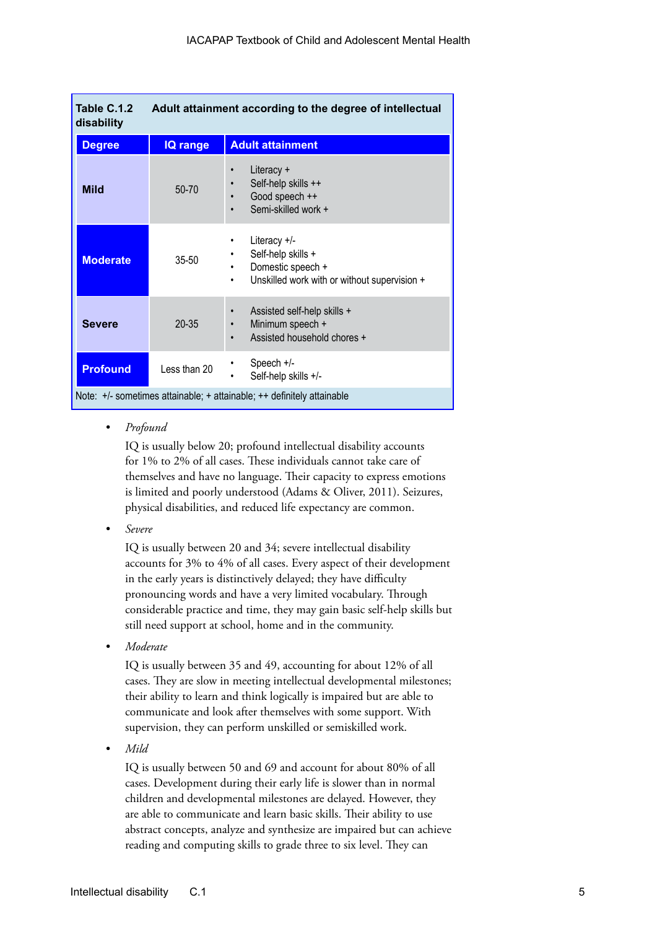| Table C.1.2<br>Adult attainment according to the degree of intellectual<br>disability |                 |                                                                                                                       |  |  |
|---------------------------------------------------------------------------------------|-----------------|-----------------------------------------------------------------------------------------------------------------------|--|--|
| <b>Degree</b>                                                                         | <b>IQ range</b> | <b>Adult attainment</b>                                                                                               |  |  |
| <b>Mild</b>                                                                           | 50-70           | Literacy +<br>Self-help skills ++<br>$\bullet$<br>Good speech ++<br>$\bullet$<br>Semi-skilled work +<br>$\bullet$     |  |  |
| <b>Moderate</b>                                                                       | $35 - 50$       | Literacy $+/-$<br>٠<br>Self-help skills +<br>Domestic speech +<br>Unskilled work with or without supervision +<br>٠   |  |  |
| <b>Severe</b>                                                                         | $20 - 35$       | Assisted self-help skills +<br>$\bullet$<br>Minimum speech +<br>$\bullet$<br>Assisted household chores +<br>$\bullet$ |  |  |
| <b>Profound</b>                                                                       | Less than 20    | Speech $+/-$<br>Self-help skills +/-<br>٠                                                                             |  |  |
| Note: +/- sometimes attainable; + attainable; ++ definitely attainable                |                 |                                                                                                                       |  |  |

*• Profound*

IQ is usually below 20; profound intellectual disability accounts for 1% to 2% of all cases. These individuals cannot take care of themselves and have no language. Their capacity to express emotions is limited and poorly understood (Adams & Oliver, 2011). Seizures, physical disabilities, and reduced life expectancy are common.

*• Severe*

IQ is usually between 20 and 34; severe intellectual disability accounts for 3% to 4% of all cases. Every aspect of their development in the early years is distinctively delayed; they have difficulty pronouncing words and have a very limited vocabulary. Through considerable practice and time, they may gain basic self-help skills but still need support at school, home and in the community.

*• Moderate*

IQ is usually between 35 and 49, accounting for about 12% of all cases. They are slow in meeting intellectual developmental milestones; their ability to learn and think logically is impaired but are able to communicate and look after themselves with some support. With supervision, they can perform unskilled or semiskilled work.

*• Mild*

IQ is usually between 50 and 69 and account for about 80% of all cases. Development during their early life is slower than in normal children and developmental milestones are delayed. However, they are able to communicate and learn basic skills. Their ability to use abstract concepts, analyze and synthesize are impaired but can achieve reading and computing skills to grade three to six level. They can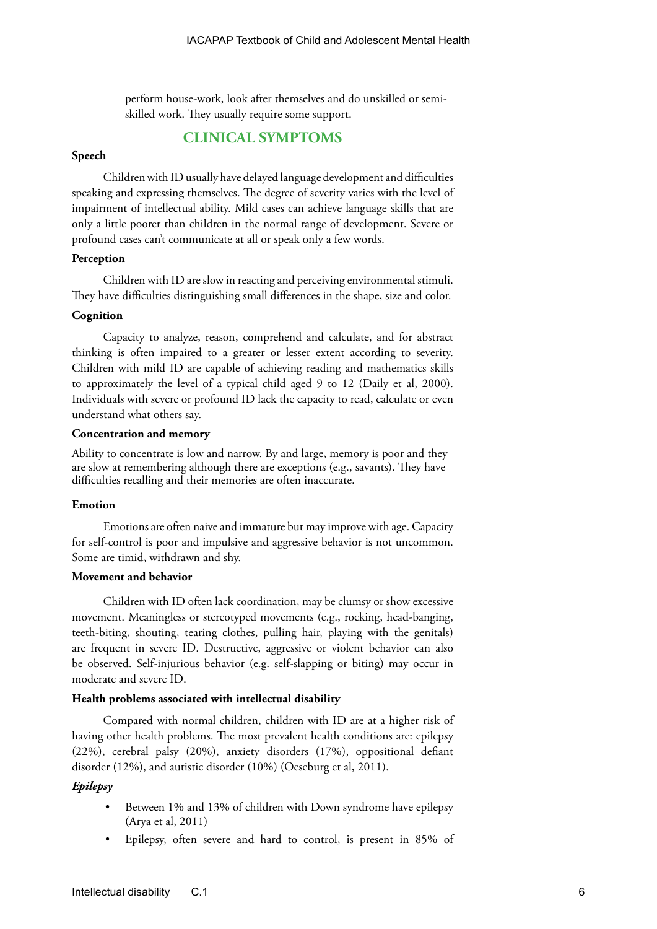perform house-work, look after themselves and do unskilled or semiskilled work. They usually require some support.

### **CLINICAL SYMPTOMS**

### **Speech**

Children with ID usually have delayed language development and difficulties speaking and expressing themselves. The degree of severity varies with the level of impairment of intellectual ability. Mild cases can achieve language skills that are only a little poorer than children in the normal range of development. Severe or profound cases can't communicate at all or speak only a few words.

### **Perception**

Children with ID are slow in reacting and perceiving environmental stimuli. They have difficulties distinguishing small differences in the shape, size and color.

#### **Cognition**

Capacity to analyze, reason, comprehend and calculate, and for abstract thinking is often impaired to a greater or lesser extent according to severity. Children with mild ID are capable of achieving reading and mathematics skills to approximately the level of a typical child aged 9 to 12 (Daily et al, 2000). Individuals with severe or profound ID lack the capacity to read, calculate or even understand what others say.

### **Concentration and memory**

Ability to concentrate is low and narrow. By and large, memory is poor and they are slow at remembering although there are exceptions (e.g., savants). They have difficulties recalling and their memories are often inaccurate.

### **Emotion**

Emotions are often naive and immature but may improve with age. Capacity for self-control is poor and impulsive and aggressive behavior is not uncommon. Some are timid, withdrawn and shy.

### **Movement and behavior**

Children with ID often lack coordination, may be clumsy or show excessive movement. Meaningless or stereotyped movements (e.g., rocking, head-banging, teeth-biting, shouting, tearing clothes, pulling hair, playing with the genitals) are frequent in severe ID. Destructive, aggressive or violent behavior can also be observed. Self-injurious behavior (e.g. self-slapping or biting) may occur in moderate and severe ID.

#### **Health problems associated with intellectual disability**

Compared with normal children, children with ID are at a higher risk of having other health problems. The most prevalent health conditions are: epilepsy (22%), cerebral palsy (20%), anxiety disorders (17%), oppositional defiant disorder (12%), and autistic disorder (10%) (Oeseburg et al, 2011).

### *Epilepsy*

- Between 1% and 13% of children with Down syndrome have epilepsy (Arya et al, 2011)
- Epilepsy, often severe and hard to control, is present in 85% of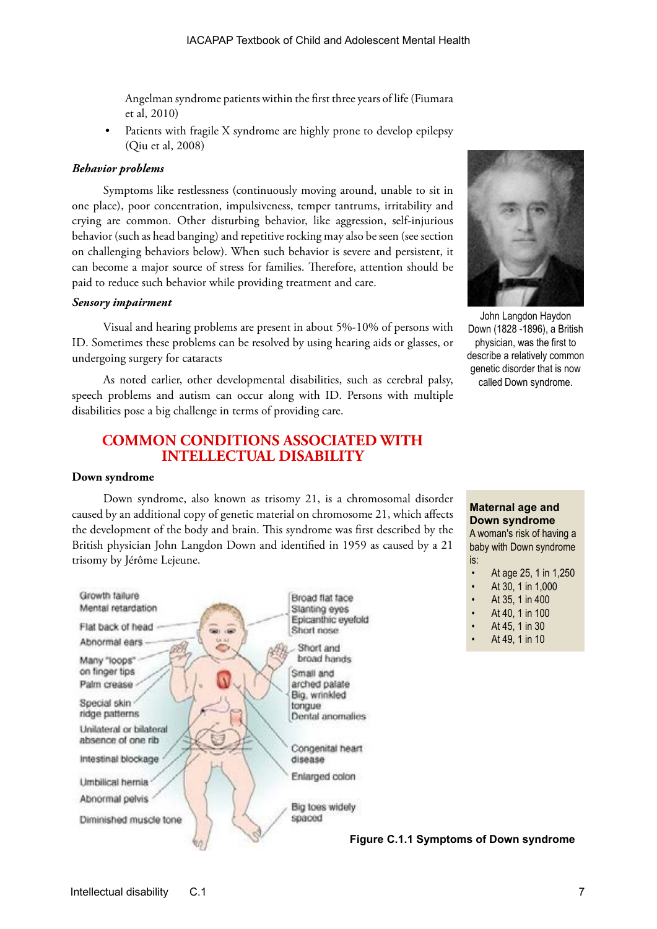Angelman syndrome patients within the first three years of life (Fiumara et al, 2010)

Patients with fragile X syndrome are highly prone to develop epilepsy (Qiu et al, 2008)

#### *Behavior problems*

Symptoms like restlessness (continuously moving around, unable to sit in one place), poor concentration, impulsiveness, temper tantrums, irritability and crying are common. Other disturbing behavior, like aggression, self-injurious behavior (such as head banging) and repetitive rocking may also be seen (see section on challenging behaviors below). When such behavior is severe and persistent, it can become a major source of stress for families. Therefore, attention should be paid to reduce such behavior while providing treatment and care.

#### *Sensory impairment*

Visual and hearing problems are present in about 5%-10% of persons with ID. Sometimes these problems can be resolved by using hearing aids or glasses, or undergoing surgery for cataracts

As noted earlier, other developmental disabilities, such as cerebral palsy, speech problems and autism can occur along with ID. Persons with multiple disabilities pose a big challenge in terms of providing care.

### **COMMON CONDITIONS ASSOCIATED WITH INTELLECTUAL DISABILITY**

#### **Down syndrome**

Down syndrome, also known as trisomy 21, is a chromosomal disorder caused by an additional copy of genetic material on chromosome 21, which affects the development of the body and brain. This syndrome was first described by the British physician John Langdon Down and identified in 1959 as caused by a 21 trisomy by Jérôme Lejeune.





John Langdon Haydon Down (1828 -1896), a British physician, was the first to describe a relatively common genetic disorder that is now called Down syndrome.

**Maternal age and Down syndrome**

A woman's risk of having a baby with Down syndrome is:

- At age 25, 1 in 1,250
- At 30, 1 in 1,000
- At 35, 1 in 400
- At 40, 1 in 100
- At 45, 1 in 30
- At 49, 1 in 10

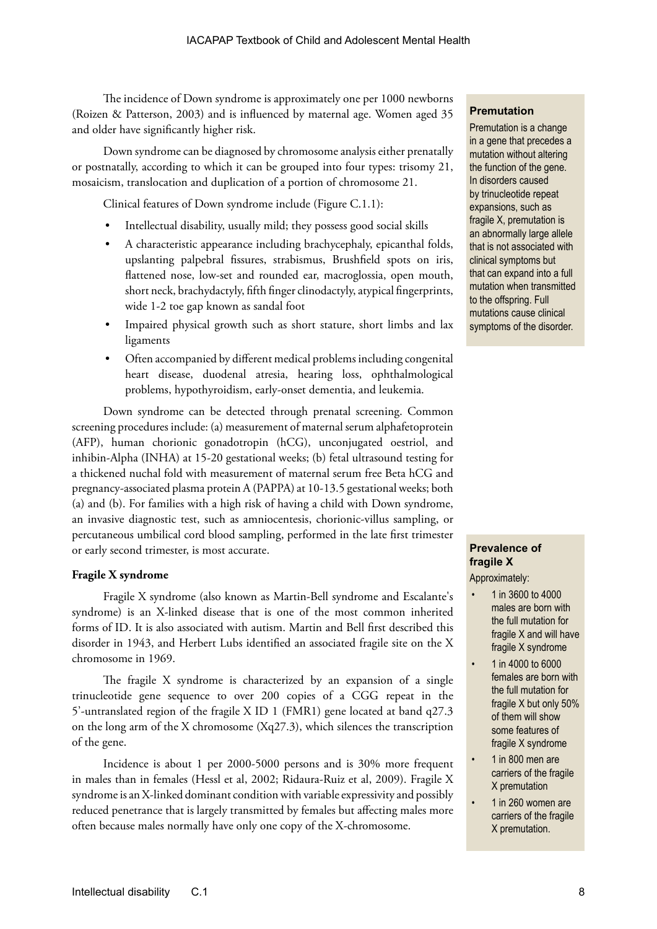The incidence of Down syndrome is approximately one per 1000 newborns (Roizen & Patterson, 2003) and is influenced by maternal age. Women aged 35 and older have significantly higher risk.

Down syndrome can be diagnosed by chromosome analysis either prenatally or postnatally, according to which it can be grouped into four types: trisomy 21, mosaicism, translocation and duplication of a portion of chromosome 21.

Clinical features of Down syndrome include (Figure C.1.1):

- Intellectual disability, usually mild; they possess good social skills
- A characteristic appearance including brachycephaly, epicanthal folds, upslanting palpebral fissures, strabismus, Brushfield spots on iris, flattened nose, low-set and rounded ear, macroglossia, open mouth, short neck, brachydactyly, fifth finger clinodactyly, atypical fingerprints, wide 1-2 toe gap known as sandal foot
- Impaired physical growth such as short stature, short limbs and lax ligaments
- Often accompanied by different medical problems including congenital heart disease, duodenal atresia, hearing loss, ophthalmological problems, hypothyroidism, early-onset dementia, and leukemia.

Down syndrome can be detected through prenatal screening. Common screening procedures include: (a) measurement of maternal serum alphafetoprotein (AFP), human chorionic gonadotropin (hCG), unconjugated oestriol, and inhibin-Alpha (INHA) at 15-20 gestational weeks; (b) fetal ultrasound testing for a thickened nuchal fold with measurement of maternal serum free Beta hCG and pregnancy-associated plasma protein A (PAPPA) at 10-13.5 gestational weeks; both (a) and (b). For families with a high risk of having a child with Down syndrome, an invasive diagnostic test, such as amniocentesis, chorionic-villus sampling, or percutaneous umbilical cord blood sampling, performed in the late first trimester or early second trimester, is most accurate.

### **Fragile X syndrome**

Fragile X syndrome (also known as Martin-Bell syndrome and Escalante's syndrome) is an X-linked disease that is one of the most common inherited forms of ID. It is also associated with autism. Martin and Bell first described this disorder in 1943, and Herbert Lubs identified an associated fragile site on the X chromosome in 1969.

The fragile X syndrome is characterized by an expansion of a single trinucleotide gene sequence to over 200 copies of a CGG repeat in the 5'-untranslated region of the fragile X ID 1 (FMR1) gene located at band q27.3 on the long arm of the X chromosome (Xq27.3), which silences the transcription of the gene.

Incidence is about 1 per 2000-5000 persons and is 30% more frequent in males than in females (Hessl et al, 2002; Ridaura-Ruiz et al, 2009). Fragile X syndrome is an X-linked dominant condition with variable expressivity and possibly reduced penetrance that is largely transmitted by females but affecting males more often because males normally have only one copy of the X-chromosome.

### **Premutation**

Premutation is a change in a gene that precedes a mutation without altering the function of the gene. In disorders caused by trinucleotide repeat expansions, such as fragile X, premutation is an abnormally large allele that is not associated with clinical symptoms but that can expand into a full mutation when transmitted to the offspring. Full mutations cause clinical symptoms of the disorder.

### **Prevalence of fragile X**

Approximately:

- 1 in 3600 to 4000 males are born with the full mutation for fragile X and will have fragile X syndrome
- 1 in 4000 to 6000 females are born with the full mutation for fragile X but only 50% of them will show some features of fragile X syndrome
- 1 in 800 men are carriers of the fragile X premutation
- 1 in 260 women are carriers of the fragile X premutation.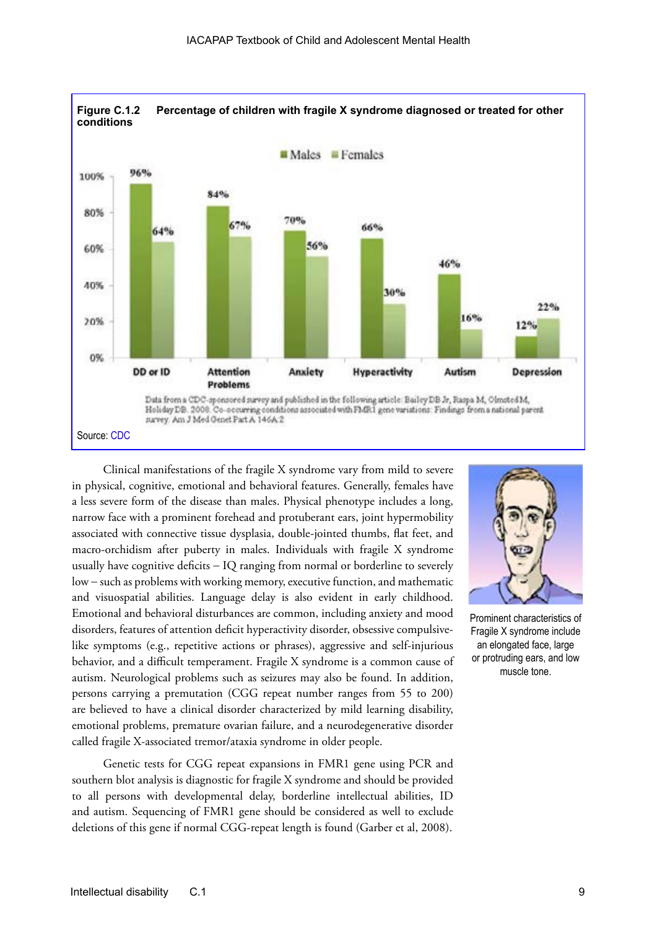

Clinical manifestations of the fragile X syndrome vary from mild to severe in physical, cognitive, emotional and behavioral features. Generally, females have a less severe form of the disease than males. Physical phenotype includes a long, narrow face with a prominent forehead and protuberant ears, joint hypermobility associated with connective tissue dysplasia, double-jointed thumbs, flat feet, and macro-orchidism after puberty in males. Individuals with fragile X syndrome usually have cognitive deficits − IQ ranging from normal or borderline to severely low − such as problems with working memory, executive function, and mathematic and visuospatial abilities. Language delay is also evident in early childhood. Emotional and behavioral disturbances are common, including anxiety and mood disorders, features of attention deficit hyperactivity disorder, obsessive compulsivelike symptoms (e.g., repetitive actions or phrases), aggressive and self-injurious behavior, and a difficult temperament. Fragile X syndrome is a common cause of autism. Neurological problems such as seizures may also be found. In addition, persons carrying a premutation (CGG repeat number ranges from 55 to 200) are believed to have a clinical disorder characterized by mild learning disability, emotional problems, premature ovarian failure, and a neurodegenerative disorder called fragile X-associated tremor/ataxia syndrome in older people.

Genetic tests for CGG repeat expansions in FMR1 gene using PCR and southern blot analysis is diagnostic for fragile X syndrome and should be provided to all persons with developmental delay, borderline intellectual abilities, ID and autism. Sequencing of FMR1 gene should be considered as well to exclude deletions of this gene if normal CGG-repeat length is found (Garber et al, 2008).



Prominent characteristics of Fragile X syndrome include an elongated face, large or protruding ears, and low muscle tone.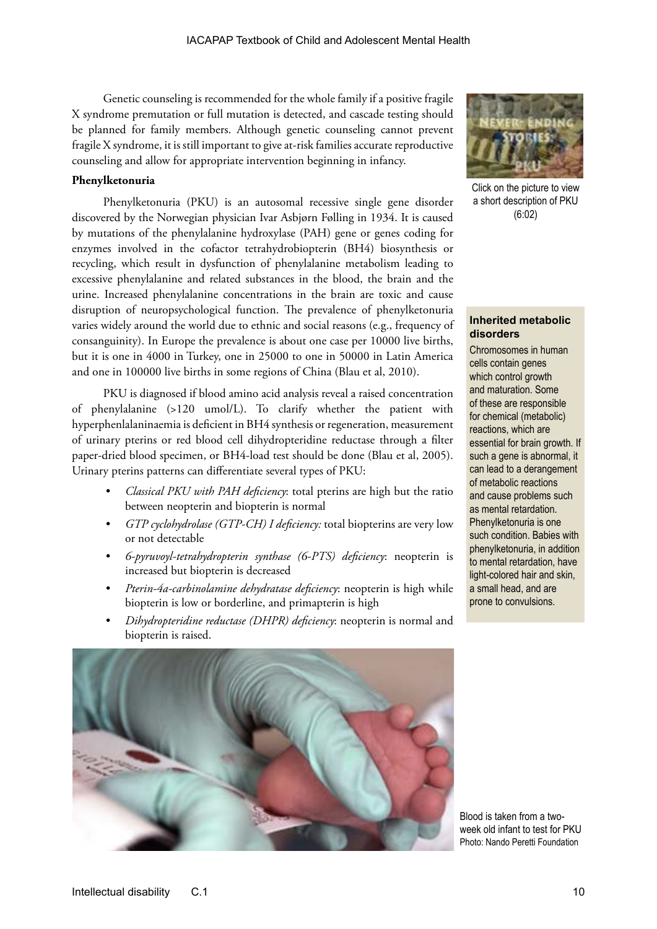Genetic counseling is recommended for the whole family if a positive fragile X syndrome premutation or full mutation is detected, and cascade testing should be planned for family members. Although genetic counseling cannot prevent fragile X syndrome, it is still important to give at-risk families accurate reproductive counseling and allow for appropriate intervention beginning in infancy.

### **Phenylketonuria**

Phenylketonuria (PKU) is an autosomal recessive single gene disorder discovered by the Norwegian physician Ivar Asbjørn Følling in 1934. It is caused by mutations of the phenylalanine hydroxylase (PAH) gene or genes coding for enzymes involved in the cofactor tetrahydrobiopterin (BH4) biosynthesis or recycling, which result in dysfunction of phenylalanine metabolism leading to excessive phenylalanine and related substances in the blood, the brain and the urine. Increased phenylalanine concentrations in the brain are toxic and cause disruption of neuropsychological function. The prevalence of phenylketonuria varies widely around the world due to ethnic and social reasons (e.g., frequency of consanguinity). In Europe the prevalence is about one case per 10000 live births, but it is one in 4000 in Turkey, one in 25000 to one in 50000 in Latin America and one in 100000 live births in some regions of China (Blau et al, 2010).

PKU is diagnosed if blood amino acid analysis reveal a raised concentration of phenylalanine (>120 umol/L). To clarify whether the patient with hyperphenlalaninaemia is deficient in BH4 synthesis or regeneration, measurement of urinary pterins or red blood cell dihydropteridine reductase through a filter paper-dried blood specimen, or BH4-load test should be done (Blau et al, 2005). Urinary pterins patterns can differentiate several types of PKU:

- *• Classical PKU with PAH deficiency*: total pterins are high but the ratio between neopterin and biopterin is normal
- *• GTP cyclohydrolase (GTP-CH) I deficiency:* total biopterins are very low or not detectable
- *• 6-pyruvoyl-tetrahydropterin synthase (6-PTS) deficiency*: neopterin is increased but biopterin is decreased
- *• Pterin-4a-carbinolamine dehydratase deficiency*: neopterin is high while biopterin is low or borderline, and primapterin is high
- *• Dihydropteridine reductase (DHPR) deficiency*: neopterin is normal and biopterin is raised.





Click on the picture to view a short description of PKU (6:02)

### **Inherited metabolic disorders**

Chromosomes in human cells contain genes which control growth and maturation. Some of these are responsible for chemical (metabolic) reactions, which are essential for brain growth. If such a gene is abnormal, it can lead to a derangement of metabolic reactions and cause problems such as mental retardation. Phenylketonuria is one such condition. Babies with phenylketonuria, in addition to mental retardation, have light-colored hair and skin, a small head, and are prone to convulsions.

Blood is taken from a twoweek old infant to test for PKU Photo: Nando Peretti Foundation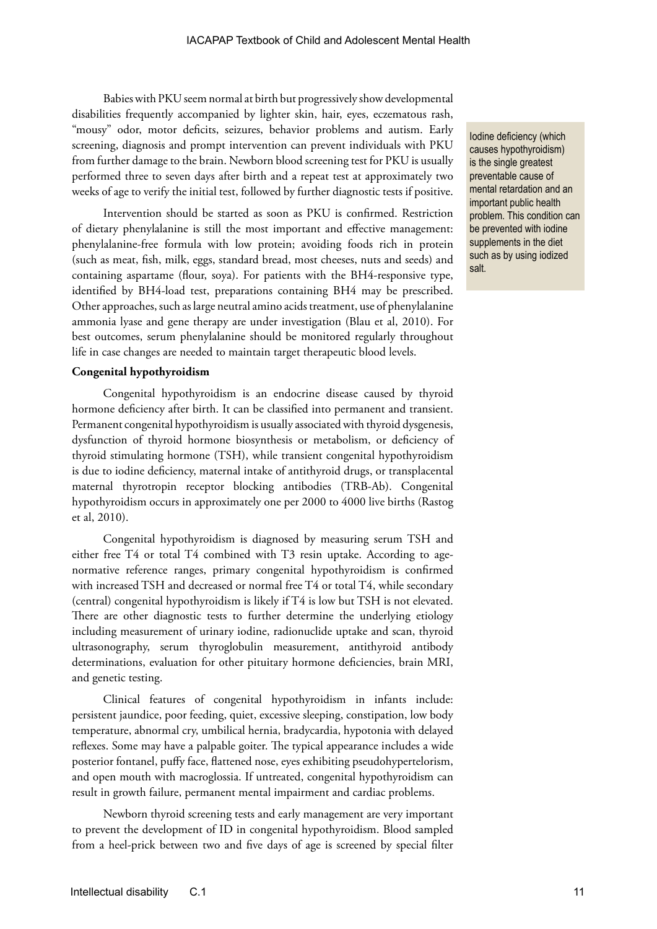Babies with PKU seem normal at birth but progressively show developmental disabilities frequently accompanied by lighter skin, hair, eyes, eczematous rash, "mousy" odor, motor deficits, seizures, behavior problems and autism. Early screening, diagnosis and prompt intervention can prevent individuals with PKU from further damage to the brain. Newborn blood screening test for PKU is usually performed three to seven days after birth and a repeat test at approximately two weeks of age to verify the initial test, followed by further diagnostic tests if positive.

Intervention should be started as soon as PKU is confirmed. Restriction of dietary phenylalanine is still the most important and effective management: phenylalanine-free formula with low protein; avoiding foods rich in protein (such as meat, fish, milk, eggs, standard bread, most cheeses, nuts and seeds) and containing aspartame (flour, soya). For patients with the BH4-responsive type, identified by BH4-load test, preparations containing BH4 may be prescribed. Other approaches, such as large neutral amino acids treatment, use of phenylalanine ammonia lyase and gene therapy are under investigation (Blau et al, 2010). For best outcomes, serum phenylalanine should be monitored regularly throughout life in case changes are needed to maintain target therapeutic blood levels.

### **Congenital hypothyroidism**

Congenital hypothyroidism is an endocrine disease caused by thyroid hormone deficiency after birth. It can be classified into permanent and transient. Permanent congenital hypothyroidism is usually associated with thyroid dysgenesis, dysfunction of thyroid hormone biosynthesis or metabolism, or deficiency of thyroid stimulating hormone (TSH), while transient congenital hypothyroidism is due to iodine deficiency, maternal intake of antithyroid drugs, or transplacental maternal thyrotropin receptor blocking antibodies (TRB-Ab). Congenital hypothyroidism occurs in approximately one per 2000 to 4000 live births (Rastog et al, 2010).

Congenital hypothyroidism is diagnosed by measuring serum TSH and either free T4 or total T4 combined with T3 resin uptake. According to agenormative reference ranges, primary congenital hypothyroidism is confirmed with increased TSH and decreased or normal free T4 or total T4, while secondary (central) congenital hypothyroidism is likely if T4 is low but TSH is not elevated. There are other diagnostic tests to further determine the underlying etiology including measurement of urinary iodine, radionuclide uptake and scan, thyroid ultrasonography, serum thyroglobulin measurement, antithyroid antibody determinations, evaluation for other pituitary hormone deficiencies, brain MRI, and genetic testing.

Clinical features of congenital hypothyroidism in infants include: persistent jaundice, poor feeding, quiet, excessive sleeping, constipation, low body temperature, abnormal cry, umbilical hernia, bradycardia, hypotonia with delayed reflexes. Some may have a palpable goiter. The typical appearance includes a wide posterior fontanel, puffy face, flattened nose, eyes exhibiting pseudohypertelorism, and open mouth with macroglossia. If untreated, congenital hypothyroidism can result in growth failure, permanent mental impairment and cardiac problems.

Newborn thyroid screening tests and early management are very important to prevent the development of ID in congenital hypothyroidism. Blood sampled from a heel-prick between two and five days of age is screened by special filter

Iodine deficiency (which causes hypothyroidism) is the single greatest preventable cause of mental retardation and an important public health problem. This condition can be prevented with iodine supplements in the diet such as by using iodized salt.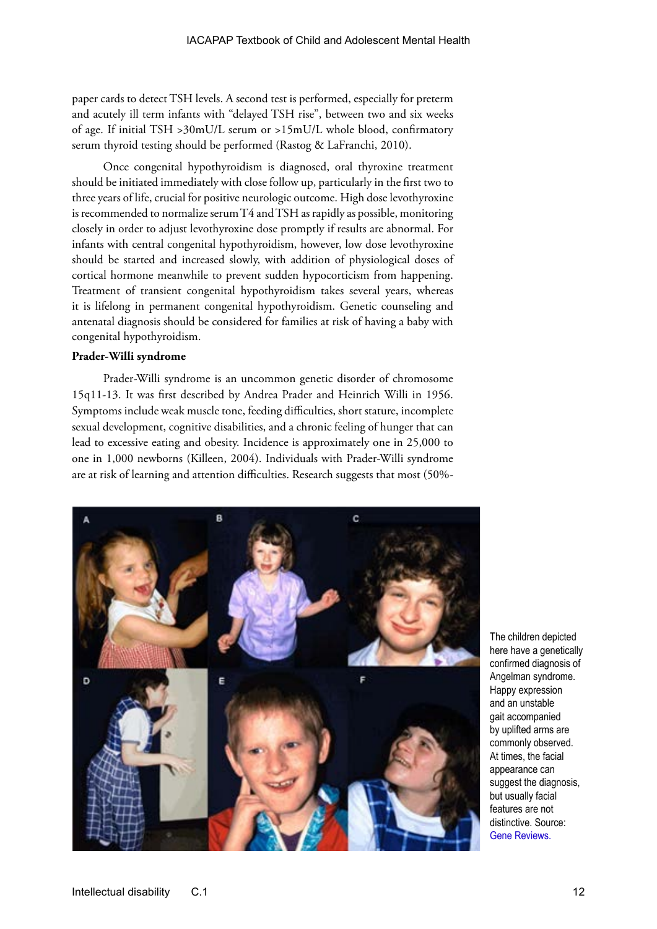paper cards to detect TSH levels. A second test is performed, especially for preterm and acutely ill term infants with "delayed TSH rise", between two and six weeks of age. If initial TSH >30mU/L serum or >15mU/L whole blood, confirmatory serum thyroid testing should be performed (Rastog & LaFranchi, 2010).

Once congenital hypothyroidism is diagnosed, oral thyroxine treatment should be initiated immediately with close follow up, particularly in the first two to three years of life, crucial for positive neurologic outcome. High dose levothyroxine is recommended to normalize serum T4 and TSH as rapidly as possible, monitoring closely in order to adjust levothyroxine dose promptly if results are abnormal. For infants with central congenital hypothyroidism, however, low dose levothyroxine should be started and increased slowly, with addition of physiological doses of cortical hormone meanwhile to prevent sudden hypocorticism from happening. Treatment of transient congenital hypothyroidism takes several years, whereas it is lifelong in permanent congenital hypothyroidism. Genetic counseling and antenatal diagnosis should be considered for families at risk of having a baby with congenital hypothyroidism.

### **Prader-Willi syndrome**

Prader-Willi syndrome is an uncommon genetic disorder of chromosome 15q11-13. It was first described by Andrea Prader and Heinrich Willi in 1956. Symptoms include weak muscle tone, feeding difficulties, short stature, incomplete sexual development, cognitive disabilities, and a chronic feeling of hunger that can lead to excessive eating and obesity. Incidence is approximately one in 25,000 to one in 1,000 newborns (Killeen, 2004). Individuals with Prader-Willi syndrome are at risk of learning and attention difficulties. Research suggests that most (50%-



The children depicted here have a genetically confirmed diagnosis of Angelman syndrome. Happy expression and an unstable gait accompanied by uplifted arms are commonly observed. At times, the facial appearance can suggest the diagnosis, but usually facial features are not distinctive. Source: [Gene Reviews.](http://www.ncbi.nlm.nih.gov/books/NBK1144/figure/angelman.F1/?report=objectonly)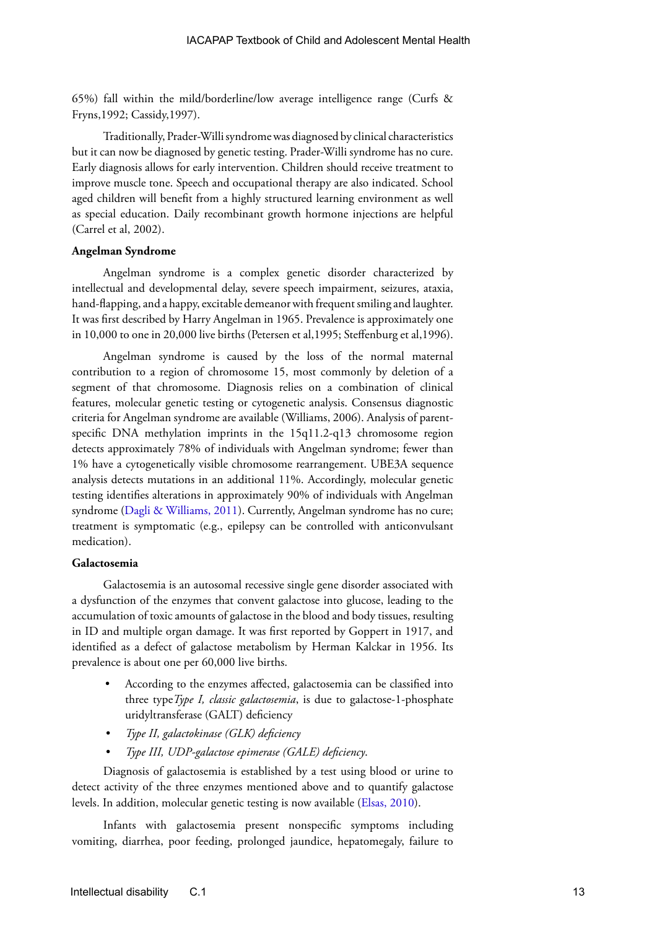65%) fall within the mild/borderline/low average intelligence range (Curfs & Fryns,1992; Cassidy,1997).

Traditionally, Prader-Willi syndrome was diagnosed by clinical characteristics but it can now be diagnosed by genetic testing. Prader-Willi syndrome has no cure. Early diagnosis allows for early intervention. Children should receive treatment to improve muscle tone. Speech and occupational therapy are also indicated. School aged children will benefit from a highly structured learning environment as well as special education. Daily recombinant growth hormone injections are helpful (Carrel et al, 2002).

### **Angelman Syndrome**

Angelman syndrome is a complex genetic disorder characterized by intellectual and developmental delay, severe speech impairment, seizures, ataxia, hand-flapping, and a happy, excitable demeanor with frequent smiling and laughter. It was first described by Harry Angelman in 1965. Prevalence is approximately one in 10,000 to one in 20,000 live births (Petersen et al,1995; Steffenburg et al,1996).

Angelman syndrome is caused by the loss of the normal maternal contribution to a region of chromosome 15, most commonly by deletion of a segment of that chromosome. Diagnosis relies on a combination of clinical features, molecular genetic testing or cytogenetic analysis. Consensus diagnostic criteria for Angelman syndrome are available (Williams, 2006). Analysis of parentspecific DNA methylation imprints in the 15q11.2-q13 chromosome region detects approximately 78% of individuals with Angelman syndrome; fewer than 1% have a cytogenetically visible chromosome rearrangement. UBE3A sequence analysis detects mutations in an additional 11%. Accordingly, molecular genetic testing identifies alterations in approximately 90% of individuals with Angelman syndrome ([Dagli & Williams, 2011\)](http://www.ncbi.nlm.nih.gov/books/NBK1144/). Currently, Angelman syndrome has no cure; treatment is symptomatic (e.g., epilepsy can be controlled with anticonvulsant medication).

#### **Galactosemia**

Galactosemia is an autosomal recessive single gene disorder associated with a dysfunction of the enzymes that convent galactose into glucose, leading to the accumulation of toxic amounts of galactose in the blood and body tissues, resulting in ID and multiple organ damage. It was first reported by Goppert in 1917, and identified as a defect of galactose metabolism by Herman Kalckar in 1956. Its prevalence is about one per 60,000 live births.

- According to the enzymes affected, galactosemia can be classified into three type*Type I, classic galactosemia*, is due to galactose-1-phosphate uridyltransferase (GALT) deficiency
- *• Type II, galactokinase (GLK) deficiency*
- *• Type III, UDP-galactose epimerase (GALE) deficiency*.

Diagnosis of galactosemia is established by a test using blood or urine to detect activity of the three enzymes mentioned above and to quantify galactose levels. In addition, molecular genetic testing is now available [\(Elsas, 2010](http://www.ncbi.nlm.nih.gov/books/NBK1518/)).

Infants with galactosemia present nonspecific symptoms including vomiting, diarrhea, poor feeding, prolonged jaundice, hepatomegaly, failure to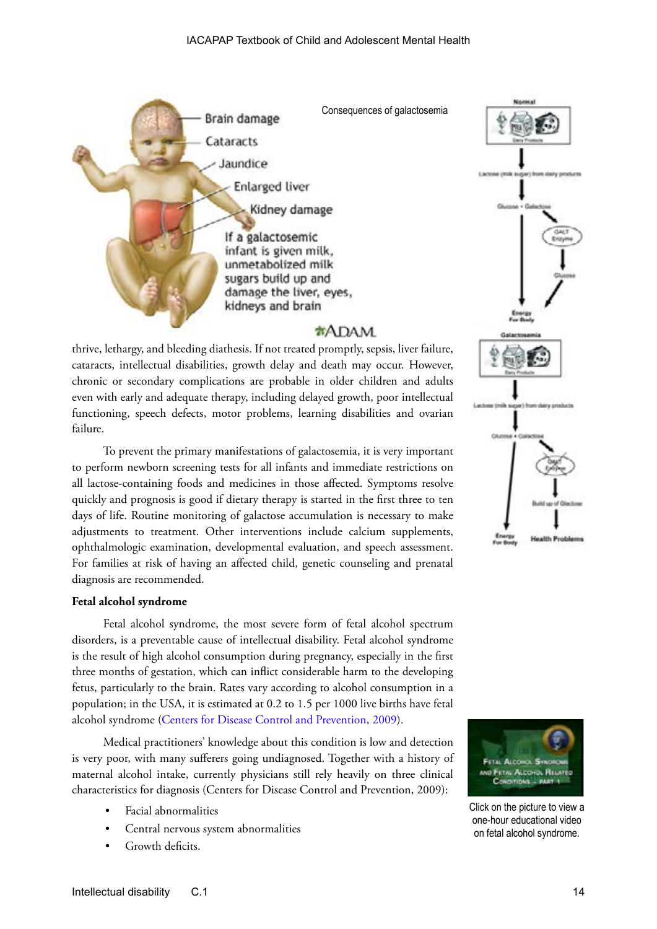

### **\*ADAM**

thrive, lethargy, and bleeding diathesis. If not treated promptly, sepsis, liver failure, cataracts, intellectual disabilities, growth delay and death may occur. However, chronic or secondary complications are probable in older children and adults even with early and adequate therapy, including delayed growth, poor intellectual functioning, speech defects, motor problems, learning disabilities and ovarian failure.

To prevent the primary manifestations of galactosemia, it is very important to perform newborn screening tests for all infants and immediate restrictions on all lactose-containing foods and medicines in those affected. Symptoms resolve quickly and prognosis is good if dietary therapy is started in the first three to ten days of life. Routine monitoring of galactose accumulation is necessary to make adjustments to treatment. Other interventions include calcium supplements, ophthalmologic examination, developmental evaluation, and speech assessment. For families at risk of having an affected child, genetic counseling and prenatal diagnosis are recommended.

### **Fetal alcohol syndrome**

Fetal alcohol syndrome, the most severe form of fetal alcohol spectrum disorders, is a preventable cause of intellectual disability. Fetal alcohol syndrome is the result of high alcohol consumption during pregnancy, especially in the first three months of gestation, which can inflict considerable harm to the developing fetus, particularly to the brain. Rates vary according to alcohol consumption in a population; in the USA, it is estimated at 0.2 to 1.5 per 1000 live births have fetal alcohol syndrome ([Centers for Disease Control and Prevention, 2009\)](http://www.cdc.gov/ncbddd).

Medical practitioners' knowledge about this condition is low and detection is very poor, with many sufferers going undiagnosed. Together with a history of maternal alcohol intake, currently physicians still rely heavily on three clinical characteristics for diagnosis (Centers for Disease Control and Prevention, 2009):

- Facial abnormalities
- Central nervous system abnormalities
- Growth deficits.





Click on the picture to view a one-hour educational video on fetal alcohol syndrome.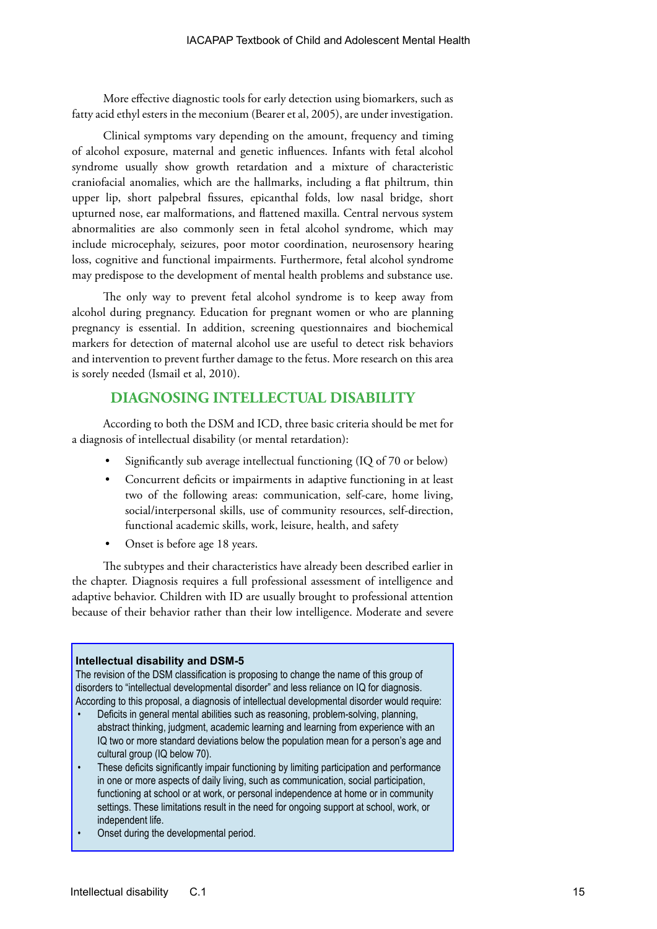More effective diagnostic tools for early detection using biomarkers, such as fatty acid ethyl esters in the meconium (Bearer et al, 2005), are under investigation.

Clinical symptoms vary depending on the amount, frequency and timing of alcohol exposure, maternal and genetic influences. Infants with fetal alcohol syndrome usually show growth retardation and a mixture of characteristic craniofacial anomalies, which are the hallmarks, including a flat philtrum, thin upper lip, short palpebral fissures, epicanthal folds, low nasal bridge, short upturned nose, ear malformations, and flattened maxilla. Central nervous system abnormalities are also commonly seen in fetal alcohol syndrome, which may include microcephaly, seizures, poor motor coordination, neurosensory hearing loss, cognitive and functional impairments. Furthermore, fetal alcohol syndrome may predispose to the development of mental health problems and substance use.

The only way to prevent fetal alcohol syndrome is to keep away from alcohol during pregnancy. Education for pregnant women or who are planning pregnancy is essential. In addition, screening questionnaires and biochemical markers for detection of maternal alcohol use are useful to detect risk behaviors and intervention to prevent further damage to the fetus. More research on this area is sorely needed (Ismail et al, 2010).

### **DIAGNOSING INTELLECTUAL DISABILITY**

According to both the DSM and ICD, three basic criteria should be met for a diagnosis of intellectual disability (or mental retardation):

- Significantly sub average intellectual functioning (IQ of 70 or below)
- Concurrent deficits or impairments in adaptive functioning in at least two of the following areas: communication, self-care, home living, social/interpersonal skills, use of community resources, self-direction, functional academic skills, work, leisure, health, and safety
- Onset is before age 18 years.

The subtypes and their characteristics have already been described earlier in the chapter. Diagnosis requires a full professional assessment of intelligence and adaptive behavior. Children with ID are usually brought to professional attention because of their behavior rather than their low intelligence. Moderate and severe

### **Intellectual disability and DSM-5**

The revision of the DSM classification is proposing to change the name of this group of disorders to "intellectual developmental disorder" and less reliance on IQ for diagnosis. According to this proposal, a diagnosis of intellectual developmental disorder would require:

- Deficits in general mental abilities such as reasoning, problem-solving, planning, abstract thinking, judgment, academic learning and learning from experience with an IQ two or more standard deviations below the population mean for a person's age and cultural group (IQ below 70).
- These deficits significantly impair functioning by limiting participation and performance in one or more aspects of daily living, such as communication, social participation, functioning at school or at work, or personal independence at home or in community settings. These limitations result in the need for ongoing support at school, work, or independent life.
- Onset during the developmental period.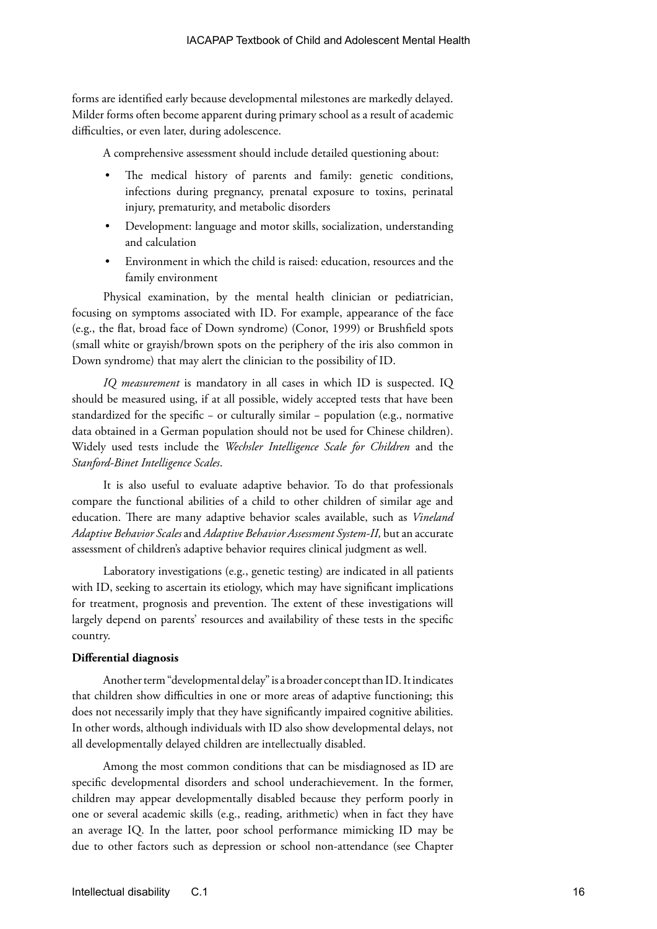forms are identified early because developmental milestones are markedly delayed. Milder forms often become apparent during primary school as a result of academic difficulties, or even later, during adolescence.

A comprehensive assessment should include detailed questioning about:

- The medical history of parents and family: genetic conditions, infections during pregnancy, prenatal exposure to toxins, perinatal injury, prematurity, and metabolic disorders
- Development: language and motor skills, socialization, understanding and calculation
- Environment in which the child is raised: education, resources and the family environment

Physical examination, by the mental health clinician or pediatrician, focusing on symptoms associated with ID. For example, appearance of the face (e.g., the flat, broad face of Down syndrome) (Conor, 1999) or Brushfield spots (small white or grayish/brown spots on the periphery of the iris also common in Down syndrome) that may alert the clinician to the possibility of ID.

*IQ measurement* is mandatory in all cases in which ID is suspected. IQ should be measured using, if at all possible, widely accepted tests that have been standardized for the specific − or culturally similar − population (e.g., normative data obtained in a German population should not be used for Chinese children). Widely used tests include the *Wechsler Intelligence Scale for Children* and the *Stanford-Binet Intelligence Scales*.

It is also useful to evaluate adaptive behavior. To do that professionals compare the functional abilities of a child to other children of similar age and education. There are many adaptive behavior scales available, such as *Vineland Adaptive Behavior Scales* and *Adaptive Behavior Assessment System-II,* but an accurate assessment of children's adaptive behavior requires clinical judgment as well.

Laboratory investigations (e.g., genetic testing) are indicated in all patients with ID, seeking to ascertain its etiology, which may have significant implications for treatment, prognosis and prevention. The extent of these investigations will largely depend on parents' resources and availability of these tests in the specific country.

### **Differential diagnosis**

Another term "developmental delay" is a broader concept than ID. It indicates that children show difficulties in one or more areas of adaptive functioning; this does not necessarily imply that they have significantly impaired cognitive abilities. In other words, although individuals with ID also show developmental delays, not all developmentally delayed children are intellectually disabled.

Among the most common conditions that can be misdiagnosed as ID are specific developmental disorders and school underachievement. In the former, children may appear developmentally disabled because they perform poorly in one or several academic skills (e.g., reading, arithmetic) when in fact they have an average IQ. In the latter, poor school performance mimicking ID may be due to other factors such as depression or school non-attendance (see Chapter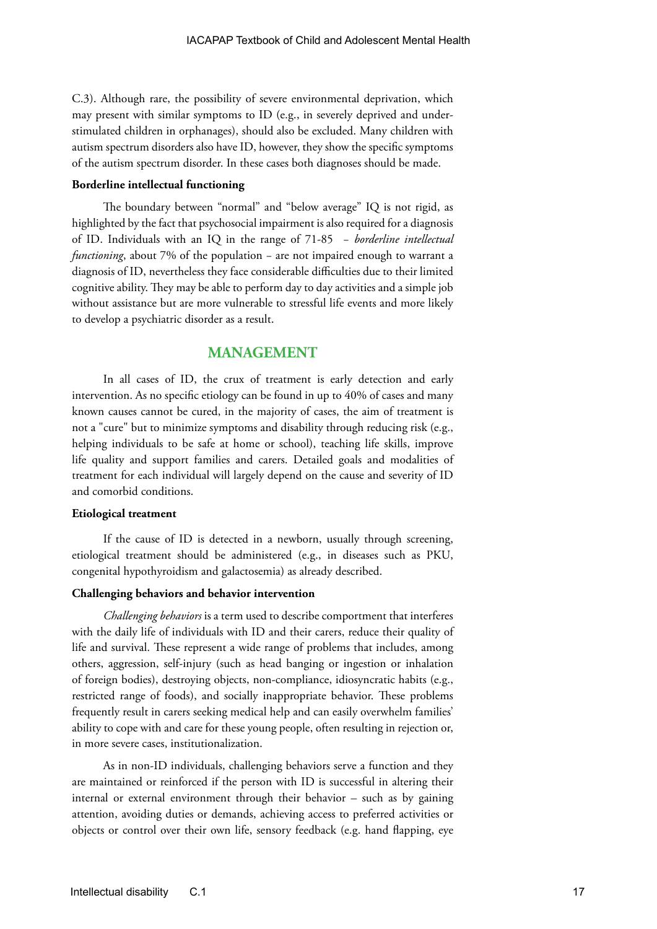C.3). Although rare, the possibility of severe environmental deprivation, which may present with similar symptoms to ID (e.g., in severely deprived and understimulated children in orphanages), should also be excluded. Many children with autism spectrum disorders also have ID, however, they show the specific symptoms of the autism spectrum disorder. In these cases both diagnoses should be made.

#### **Borderline intellectual functioning**

The boundary between "normal" and "below average" IQ is not rigid, as highlighted by the fact that psychosocial impairment is also required for a diagnosis of ID. Individuals with an IQ in the range of 71-85 − *borderline intellectual functioning*, about 7% of the population – are not impaired enough to warrant a diagnosis of ID, nevertheless they face considerable difficulties due to their limited cognitive ability. They may be able to perform day to day activities and a simple job without assistance but are more vulnerable to stressful life events and more likely to develop a psychiatric disorder as a result.

### **MANAGEMENT**

In all cases of ID, the crux of treatment is early detection and early intervention. As no specific etiology can be found in up to 40% of cases and many known causes cannot be cured, in the majority of cases, the aim of treatment is not a "cure" but to minimize symptoms and disability through reducing risk (e.g., helping individuals to be safe at home or school), teaching life skills, improve life quality and support families and carers. Detailed goals and modalities of treatment for each individual will largely depend on the cause and severity of ID and comorbid conditions.

### **Etiological treatment**

If the cause of ID is detected in a newborn, usually through screening, etiological treatment should be administered (e.g., in diseases such as PKU, congenital hypothyroidism and galactosemia) as already described.

#### **Challenging behaviors and behavior intervention**

*Challenging behaviors* is a term used to describe comportment that interferes with the daily life of individuals with ID and their carers, reduce their quality of life and survival. These represent a wide range of problems that includes, among others, aggression, self-injury (such as head banging or ingestion or inhalation of foreign bodies), destroying objects, non-compliance, idiosyncratic habits (e.g., restricted range of foods), and socially inappropriate behavior. These problems frequently result in carers seeking medical help and can easily overwhelm families' ability to cope with and care for these young people, often resulting in rejection or, in more severe cases, institutionalization.

As in non-ID individuals, challenging behaviors serve a function and they are maintained or reinforced if the person with ID is successful in altering their internal or external environment through their behavior – such as by gaining attention, avoiding duties or demands, achieving access to preferred activities or objects or control over their own life, sensory feedback (e.g. hand flapping, eye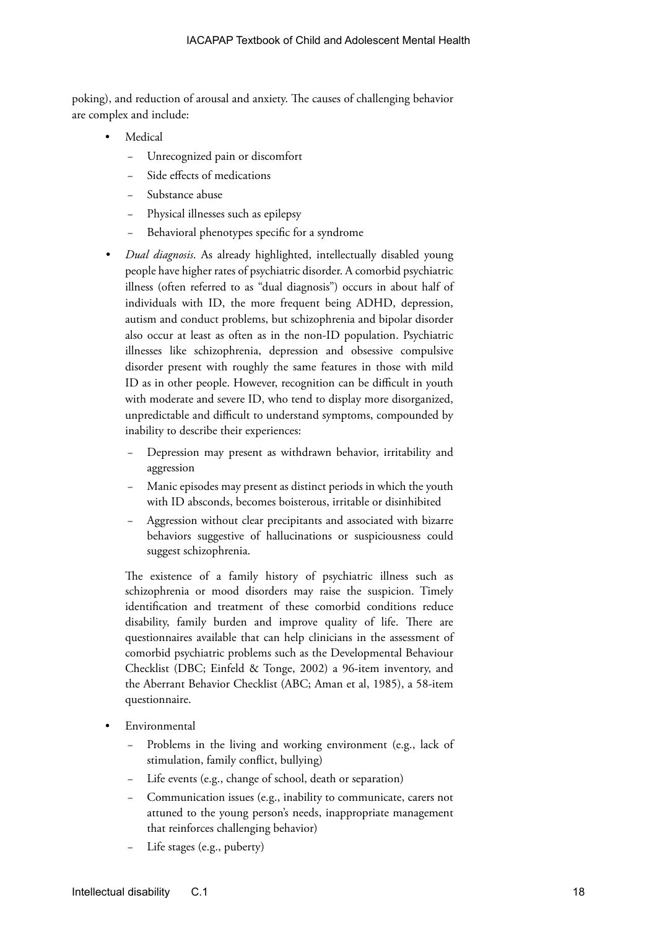poking), and reduction of arousal and anxiety. The causes of challenging behavior are complex and include:

- **Medical** 
	- Unrecognized pain or discomfort
	- Side effects of medications
	- Substance abuse
	- Physical illnesses such as epilepsy
	- Behavioral phenotypes specific for a syndrome
- *• Dual diagnosis*. As already highlighted, intellectually disabled young people have higher rates of psychiatric disorder. A comorbid psychiatric illness (often referred to as "dual diagnosis") occurs in about half of individuals with ID, the more frequent being ADHD, depression, autism and conduct problems, but schizophrenia and bipolar disorder also occur at least as often as in the non-ID population. Psychiatric illnesses like schizophrenia, depression and obsessive compulsive disorder present with roughly the same features in those with mild ID as in other people. However, recognition can be difficult in youth with moderate and severe ID, who tend to display more disorganized, unpredictable and difficult to understand symptoms, compounded by inability to describe their experiences:
	- Depression may present as withdrawn behavior, irritability and aggression
	- Manic episodes may present as distinct periods in which the youth with ID absconds, becomes boisterous, irritable or disinhibited
	- − Aggression without clear precipitants and associated with bizarre behaviors suggestive of hallucinations or suspiciousness could suggest schizophrenia.

The existence of a family history of psychiatric illness such as schizophrenia or mood disorders may raise the suspicion. Timely identification and treatment of these comorbid conditions reduce disability, family burden and improve quality of life. There are questionnaires available that can help clinicians in the assessment of comorbid psychiatric problems such as the Developmental Behaviour Checklist (DBC; Einfeld & Tonge, 2002) a 96-item inventory, and the Aberrant Behavior Checklist (ABC; Aman et al, 1985), a 58-item questionnaire.

- **Environmental** 
	- Problems in the living and working environment (e.g., lack of stimulation, family conflict, bullying)
	- Life events (e.g., change of school, death or separation)
	- − Communication issues (e.g., inability to communicate, carers not attuned to the young person's needs, inappropriate management that reinforces challenging behavior)
	- Life stages (e.g., puberty)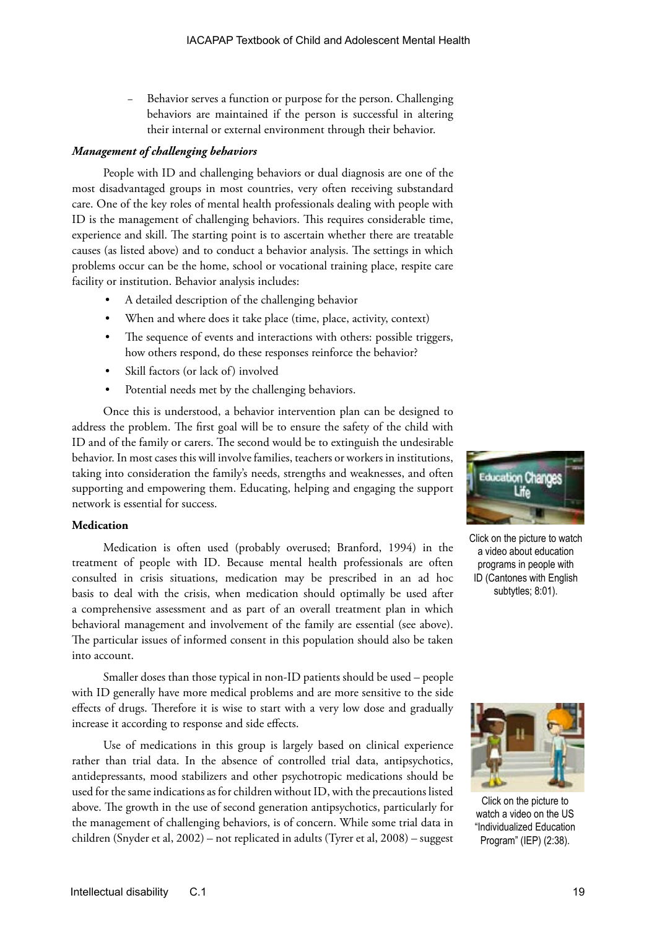Behavior serves a function or purpose for the person. Challenging behaviors are maintained if the person is successful in altering their internal or external environment through their behavior.

### *Management of challenging behaviors*

People with ID and challenging behaviors or dual diagnosis are one of the most disadvantaged groups in most countries, very often receiving substandard care. One of the key roles of mental health professionals dealing with people with ID is the management of challenging behaviors. This requires considerable time, experience and skill. The starting point is to ascertain whether there are treatable causes (as listed above) and to conduct a behavior analysis. The settings in which problems occur can be the home, school or vocational training place, respite care facility or institution. Behavior analysis includes:

- A detailed description of the challenging behavior
- When and where does it take place (time, place, activity, context)
- The sequence of events and interactions with others: possible triggers, how others respond, do these responses reinforce the behavior?
- Skill factors (or lack of) involved
- Potential needs met by the challenging behaviors.

Once this is understood, a behavior intervention plan can be designed to address the problem. The first goal will be to ensure the safety of the child with ID and of the family or carers. The second would be to extinguish the undesirable behavior. In most cases this will involve families, teachers or workers in institutions, taking into consideration the family's needs, strengths and weaknesses, and often supporting and empowering them. Educating, helping and engaging the support network is essential for success.

### **Medication**

Medication is often used (probably overused; Branford, 1994) in the treatment of people with ID. Because mental health professionals are often consulted in crisis situations, medication may be prescribed in an ad hoc basis to deal with the crisis, when medication should optimally be used after a comprehensive assessment and as part of an overall treatment plan in which behavioral management and involvement of the family are essential (see above). The particular issues of informed consent in this population should also be taken into account.

Smaller doses than those typical in non-ID patients should be used – people with ID generally have more medical problems and are more sensitive to the side effects of drugs. Therefore it is wise to start with a very low dose and gradually increase it according to response and side effects.

Use of medications in this group is largely based on clinical experience rather than trial data. In the absence of controlled trial data, antipsychotics, antidepressants, mood stabilizers and other psychotropic medications should be used for the same indications as for children without ID, with the precautions listed above. The growth in the use of second generation antipsychotics, particularly for the management of challenging behaviors, is of concern. While some trial data in children (Snyder et al, 2002) – not replicated in adults (Tyrer et al, 2008) – suggest



Click on the picture to watch a video about education programs in people with ID (Cantones with English subtytles; 8:01).



Click on the picture to watch a video on the US "Individualized Education Program" (IEP) (2:38).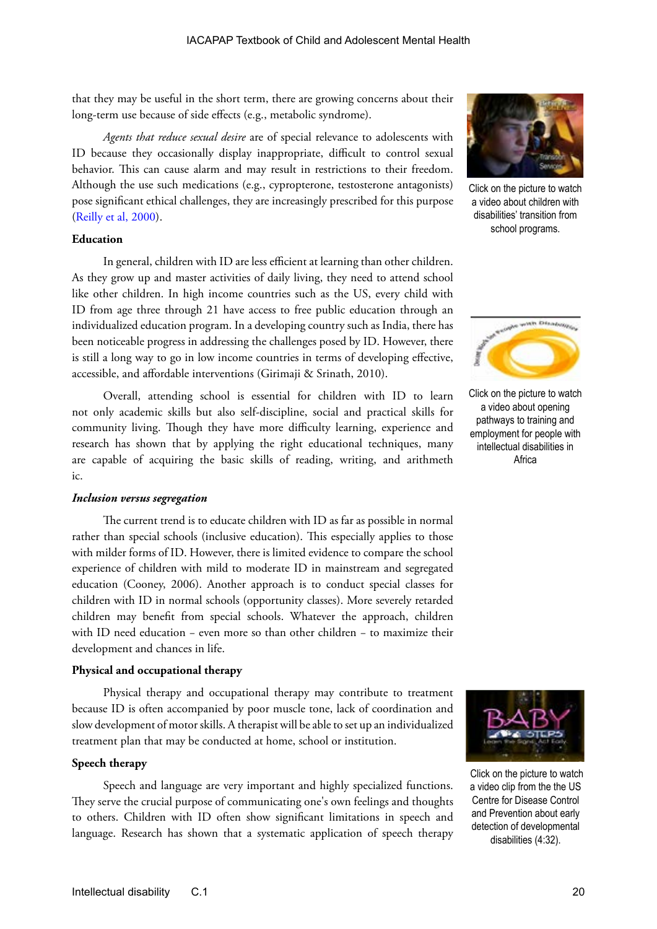that they may be useful in the short term, there are growing concerns about their long-term use because of side effects (e.g., metabolic syndrome).

*Agents that reduce sexual desire* are of special relevance to adolescents with ID because they occasionally display inappropriate, difficult to control sexual behavior. This can cause alarm and may result in restrictions to their freedom. Although the use such medications (e.g., cypropterone, testosterone antagonists) pose significant ethical challenges, they are increasingly prescribed for this purpose ([Reilly et al, 2000](https://ww1.cpa-apc.org/Publications/Archives/CJP/2000/Aug/Aug2000.asp)).

### **Education**

In general, children with ID are less efficient at learning than other children. As they grow up and master activities of daily living, they need to attend school like other children. In high income countries such as the US, every child with ID from age three through 21 have access to free public education through an individualized education program. In a developing country such as India, there has been noticeable progress in addressing the challenges posed by ID. However, there is still a long way to go in low income countries in terms of developing effective, accessible, and affordable interventions (Girimaji & Srinath, 2010).

Overall, attending school is essential for children with ID to learn not only academic skills but also self-discipline, social and practical skills for community living. Though they have more difficulty learning, experience and research has shown that by applying the right educational techniques, many are capable of acquiring the basic skills of reading, writing, and arithmeth ic.

#### *Inclusion versus segregation*

The current trend is to educate children with ID as far as possible in normal rather than special schools (inclusive education). This especially applies to those with milder forms of ID. However, there is limited evidence to compare the school experience of children with mild to moderate ID in mainstream and segregated education (Cooney, 2006). Another approach is to conduct special classes for children with ID in normal schools (opportunity classes). More severely retarded children may benefit from special schools. Whatever the approach, children with ID need education − even more so than other children − to maximize their development and chances in life.

### **Physical and occupational therapy**

Physical therapy and occupational therapy may contribute to treatment because ID is often accompanied by poor muscle tone, lack of coordination and slow development of motor skills. A therapist will be able to set up an individualized treatment plan that may be conducted at home, school or institution.

### **Speech therapy**

Speech and language are very important and highly specialized functions. They serve the crucial purpose of communicating one's own feelings and thoughts to others. Children with ID often show significant limitations in speech and language. Research has shown that a systematic application of speech therapy



Click on the picture to watch a video about children with disabilities' transition from school programs.



Click on the picture to watch a video about opening pathways to training and employment for people with intellectual disabilities in Africa



 Click on the picture to watch a video clip from the the US Centre for Disease Control and Prevention about early detection of developmental disabilities (4:32).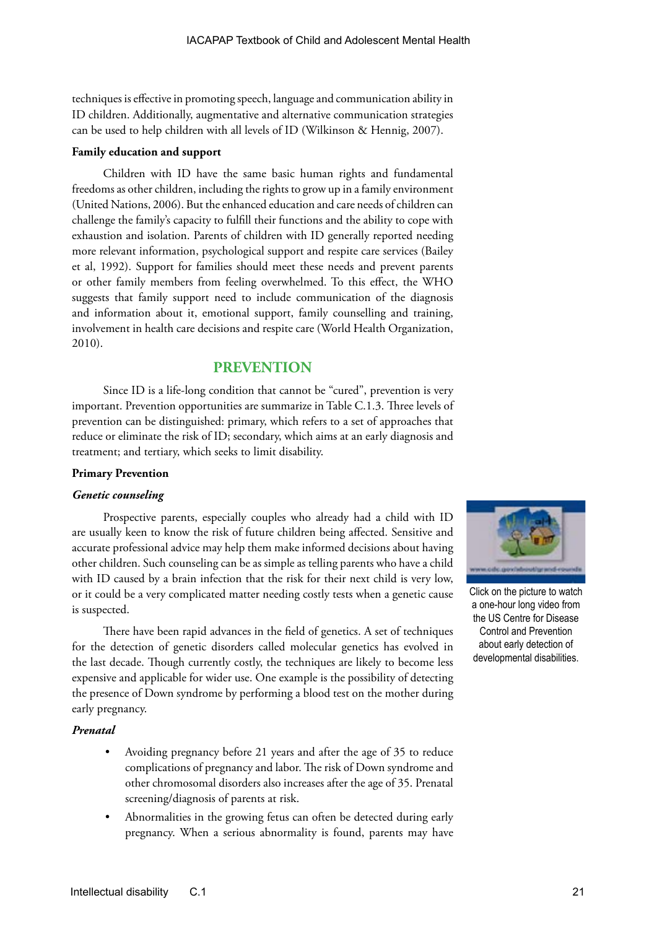techniques is effective in promoting speech, language and communication ability in ID children. Additionally, augmentative and alternative communication strategies can be used to help children with all levels of ID (Wilkinson & Hennig, 2007).

### **Family education and support**

Children with ID have the same basic human rights and fundamental freedoms as other children, including the rights to grow up in a family environment (United Nations, 2006). But the enhanced education and care needs of children can challenge the family's capacity to fulfill their functions and the ability to cope with exhaustion and isolation. Parents of children with ID generally reported needing more relevant information, psychological support and respite care services (Bailey et al, 1992). Support for families should meet these needs and prevent parents or other family members from feeling overwhelmed. To this effect, the WHO suggests that family support need to include communication of the diagnosis and information about it, emotional support, family counselling and training, involvement in health care decisions and respite care (World Health Organization, 2010).

### **PREVENTION**

Since ID is a life-long condition that cannot be "cured", prevention is very important. Prevention opportunities are summarize in Table C.1.3. Three levels of prevention can be distinguished: primary, which refers to a set of approaches that reduce or eliminate the risk of ID; secondary, which aims at an early diagnosis and treatment; and tertiary, which seeks to limit disability.

### **Primary Prevention**

### *Genetic counseling*

Prospective parents, especially couples who already had a child with ID are usually keen to know the risk of future children being affected. Sensitive and accurate professional advice may help them make informed decisions about having other children. Such counseling can be as simple as telling parents who have a child with ID caused by a brain infection that the risk for their next child is very low, or it could be a very complicated matter needing costly tests when a genetic cause is suspected.

There have been rapid advances in the field of genetics. A set of techniques for the detection of genetic disorders called molecular genetics has evolved in the last decade. Though currently costly, the techniques are likely to become less expensive and applicable for wider use. One example is the possibility of detecting the presence of Down syndrome by performing a blood test on the mother during early pregnancy.

### *Prenatal*

- Avoiding pregnancy before 21 years and after the age of 35 to reduce complications of pregnancy and labor. The risk of Down syndrome and other chromosomal disorders also increases after the age of 35. Prenatal screening/diagnosis of parents at risk.
- Abnormalities in the growing fetus can often be detected during early pregnancy. When a serious abnormality is found, parents may have



Click on the picture to watch a one-hour long video from the US Centre for Disease Control and Prevention about early detection of developmental disabilities.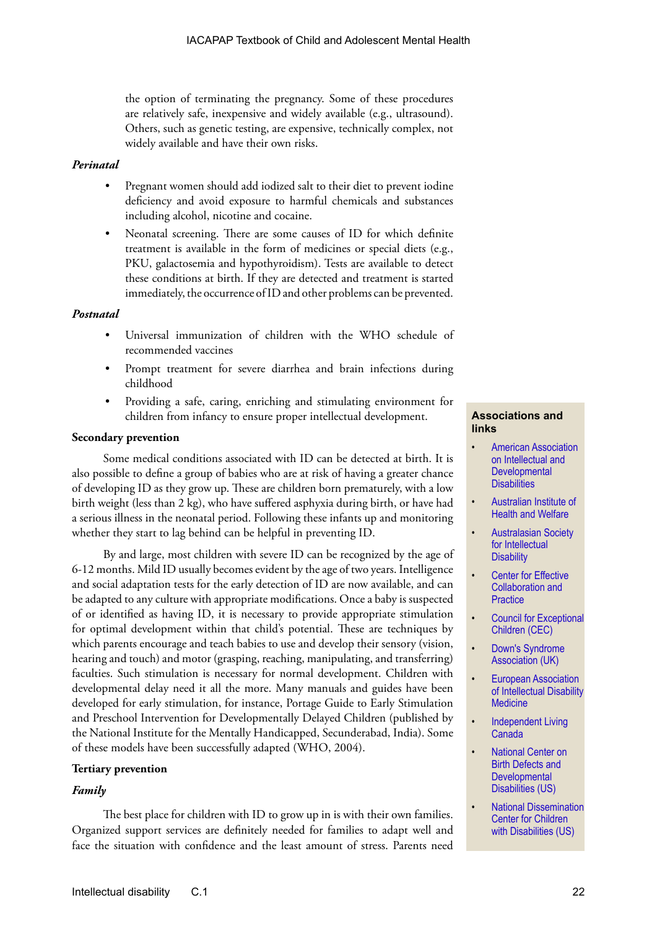the option of terminating the pregnancy. Some of these procedures are relatively safe, inexpensive and widely available (e.g., ultrasound). Others, such as genetic testing, are expensive, technically complex, not widely available and have their own risks.

### *Perinatal*

- Pregnant women should add iodized salt to their diet to prevent iodine deficiency and avoid exposure to harmful chemicals and substances including alcohol, nicotine and cocaine.
- Neonatal screening. There are some causes of ID for which definite treatment is available in the form of medicines or special diets (e.g., PKU, galactosemia and hypothyroidism). Tests are available to detect these conditions at birth. If they are detected and treatment is started immediately, the occurrence of ID and other problems can be prevented.

### *Postnatal*

- Universal immunization of children with the WHO schedule of recommended vaccines
- Prompt treatment for severe diarrhea and brain infections during childhood
- Providing a safe, caring, enriching and stimulating environment for children from infancy to ensure proper intellectual development.

### **Secondary prevention**

Some medical conditions associated with ID can be detected at birth. It is also possible to define a group of babies who are at risk of having a greater chance of developing ID as they grow up. These are children born prematurely, with a low birth weight (less than 2 kg), who have suffered asphyxia during birth, or have had a serious illness in the neonatal period. Following these infants up and monitoring whether they start to lag behind can be helpful in preventing ID.

By and large, most children with severe ID can be recognized by the age of 6-12 months. Mild ID usually becomes evident by the age of two years. Intelligence and social adaptation tests for the early detection of ID are now available, and can be adapted to any culture with appropriate modifications. Once a baby is suspected of or identified as having ID, it is necessary to provide appropriate stimulation for optimal development within that child's potential. These are techniques by which parents encourage and teach babies to use and develop their sensory (vision, hearing and touch) and motor (grasping, reaching, manipulating, and transferring) faculties. Such stimulation is necessary for normal development. Children with developmental delay need it all the more. Many manuals and guides have been developed for early stimulation, for instance, Portage Guide to Early Stimulation and Preschool Intervention for Developmentally Delayed Children (published by the National Institute for the Mentally Handicapped, Secunderabad, India). Some of these models have been successfully adapted (WHO, 2004).

### **Tertiary prevention**

### *Family*

The best place for children with ID to grow up in is with their own families. Organized support services are definitely needed for families to adapt well and face the situation with confidence and the least amount of stress. Parents need

### **Associations and links**

- [American Association](www.aaidd.org/http://)  [on Intellectual and](www.aaidd.org/http://)  **Developmental [Disabilities](www.aaidd.org/http://)**
- [Australian Institute of](http://www.aihw.gov.au/publication-detail/?id=6442468183)  [Health and Welfare](http://www.aihw.gov.au/publication-detail/?id=6442468183)
- [Australasian Society](http://asid.asn.au/)  [for Intellectual](http://asid.asn.au/)  **[Disability](http://asid.asn.au/)**
- **Center for Effective** [Collaboration and](http://cecp.air.org/schools_special.asp)  **[Practice](http://cecp.air.org/schools_special.asp)**
- Council for Exceptional [Children \(CEC\)](http://www.cec.org)
- Down's Syndrome [Association \(UK\)](http://www.downs-syndrome.org.uk/)
- **European Association** [of Intellectual Disability](http://www.mamh.net/)  **[Medicine](http://www.mamh.net/)**
- Independent Living [Canada](http://www.ilcanada.ca/article/home-125.asp)
- [National Center on](http://www.cdc.gov/ncbddd/index.html)  [Birth Defects and](http://www.cdc.gov/ncbddd/index.html)  **Developmental** [Disabilities \(US\)](http://www.cdc.gov/ncbddd/index.html)
- [National Dissemination](http://nichcy.org/)  [Center for Children](http://nichcy.org/)  [with Disabilities](http://nichcy.org/) (US)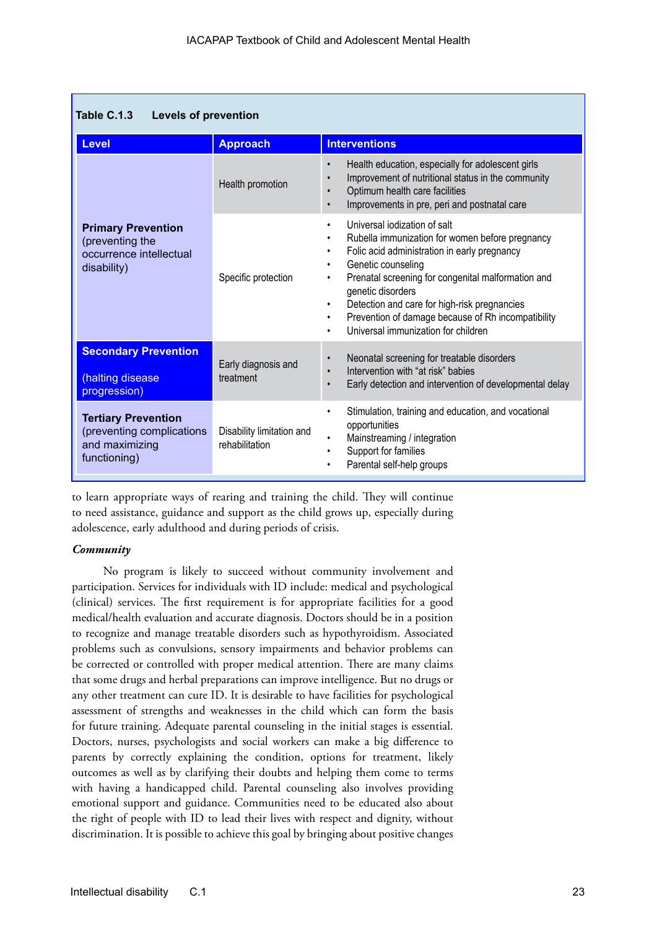| Table C.1.3<br><b>Levels of prevention</b>                                                |                                             |                                                                                                                                                                                                                                                                                                                                                                                                                                                                               |  |  |  |
|-------------------------------------------------------------------------------------------|---------------------------------------------|-------------------------------------------------------------------------------------------------------------------------------------------------------------------------------------------------------------------------------------------------------------------------------------------------------------------------------------------------------------------------------------------------------------------------------------------------------------------------------|--|--|--|
| <b>Level</b>                                                                              | <b>Approach</b>                             | <b>Interventions</b>                                                                                                                                                                                                                                                                                                                                                                                                                                                          |  |  |  |
|                                                                                           | Health promotion                            | Health education, especially for adolescent girls<br>$\bullet$<br>Improvement of nutritional status in the community<br>$\bullet$<br>Optimum health care facilities<br>$\bullet$<br>Improvements in pre, peri and postnatal care<br>$\bullet$                                                                                                                                                                                                                                 |  |  |  |
| <b>Primary Prevention</b><br>(preventing the<br>occurrence intellectual<br>disability)    | Specific protection                         | Universal iodization of salt<br>$\bullet$<br>Rubella immunization for women before pregnancy<br>$\bullet$<br>Folic acid administration in early pregnancy<br>$\bullet$<br>Genetic counseling<br>٠<br>Prenatal screening for congenital malformation and<br>$\bullet$<br>genetic disorders<br>Detection and care for high-risk pregnancies<br>$\bullet$<br>Prevention of damage because of Rh incompatibility<br>$\bullet$<br>Universal immunization for children<br>$\bullet$ |  |  |  |
| <b>Secondary Prevention</b><br>(halting disease<br>progression)                           | Early diagnosis and<br>treatment            | Neonatal screening for treatable disorders<br>$\bullet$<br>Intervention with "at risk" babies<br>$\bullet$<br>Early detection and intervention of developmental delay<br>$\bullet$                                                                                                                                                                                                                                                                                            |  |  |  |
| <b>Tertiary Prevention</b><br>(preventing complications<br>and maximizing<br>functioning) | Disability limitation and<br>rehabilitation | Stimulation, training and education, and vocational<br>$\bullet$<br>opportunities<br>Mainstreaming / integration<br>$\bullet$<br>Support for families<br>$\bullet$<br>Parental self-help groups<br>$\bullet$                                                                                                                                                                                                                                                                  |  |  |  |

to learn appropriate ways of rearing and training the child. They will continue to need assistance, guidance and support as the child grows up, especially during adolescence, early adulthood and during periods of crisis.

### *Community*

No program is likely to succeed without community involvement and participation. Services for individuals with ID include: medical and psychological (clinical) services. The first requirement is for appropriate facilities for a good medical/health evaluation and accurate diagnosis. Doctors should be in a position to recognize and manage treatable disorders such as hypothyroidism. Associated problems such as convulsions, sensory impairments and behavior problems can be corrected or controlled with proper medical attention. There are many claims that some drugs and herbal preparations can improve intelligence. But no drugs or any other treatment can cure ID. It is desirable to have facilities for psychological assessment of strengths and weaknesses in the child which can form the basis for future training. Adequate parental counseling in the initial stages is essential. Doctors, nurses, psychologists and social workers can make a big difference to parents by correctly explaining the condition, options for treatment, likely outcomes as well as by clarifying their doubts and helping them come to terms with having a handicapped child. Parental counseling also involves providing emotional support and guidance. Communities need to be educated also about the right of people with ID to lead their lives with respect and dignity, without discrimination. It is possible to achieve this goal by bringing about positive changes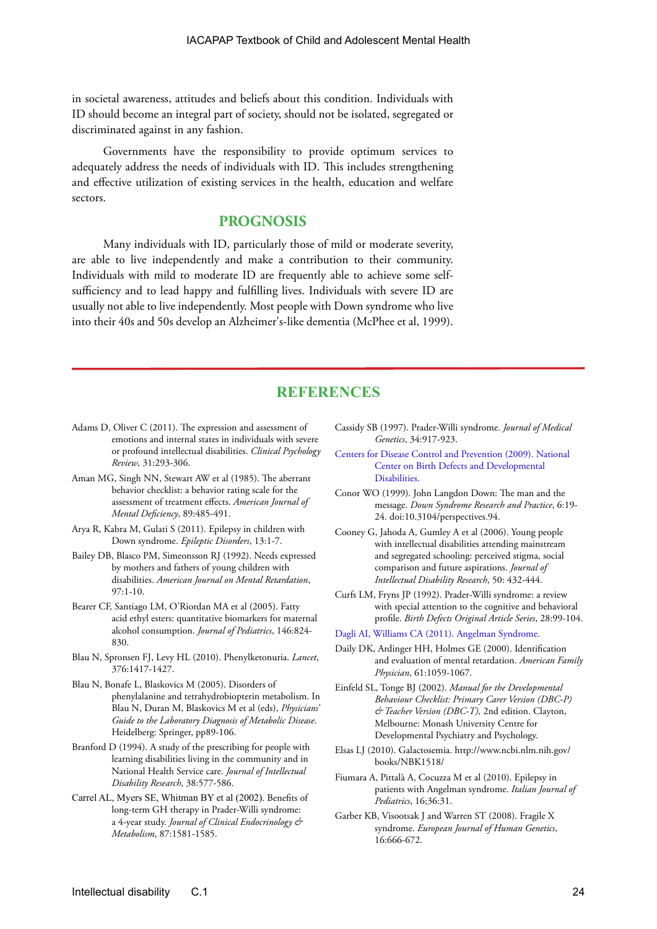in societal awareness, attitudes and beliefs about this condition. Individuals with ID should become an integral part of society, should not be isolated, segregated or discriminated against in any fashion.

Governments have the responsibility to provide optimum services to adequately address the needs of individuals with ID. This includes strengthening and effective utilization of existing services in the health, education and welfare sectors.

### **PROGNOSIS**

Many individuals with ID, particularly those of mild or moderate severity, are able to live independently and make a contribution to their community. Individuals with mild to moderate ID are frequently able to achieve some selfsufficiency and to lead happy and fulfilling lives. Individuals with severe ID are usually not able to live independently. Most people with Down syndrome who live into their 40s and 50s develop an Alzheimer's-like dementia (McPhee et al, 1999).

### **REFERENCES**

- Adams D, Oliver C (2011). The expression and assessment of emotions and internal states in individuals with severe or profound intellectual disabilities. *Clinical Psychology Review*, 31:293-306.
- Aman MG, Singh NN, Stewart AW et al (1985). The aberrant behavior checklist: a behavior rating scale for the assessment of treatment effects. *American Journal of Mental Deficiency*, 89:485-491.
- Arya R, Kabra M, Gulati S (2011). Epilepsy in children with Down syndrome. *Epileptic Disorders*, 13:1-7.
- Bailey DB, Blasco PM, Simeonsson RJ (1992). Needs expressed by mothers and fathers of young children with disabilities. *American Journal on Mental Retardation*,  $97.1 - 10$
- Bearer CF, Santiago LM, O'Riordan MA et al (2005). Fatty acid ethyl esters: quantitative biomarkers for maternal alcohol consumption. *Journal of Pediatrics*, 146:824- 830.
- Blau N, Spronsen FJ, Levy HL (2010). Phenylketonuria. *Lancet*, 376:1417-1427.
- Blau N, Bonafe L, Blaskovics M (2005). Disorders of phenylalanine and tetrahydrobiopterin metabolism. In Blau N, Duran M, Blaskovics M et al (eds), *Physicians' Guide to the Laboratory Diagnosis of Metabolic Disease*. Heidelberg: Springer, pp89-106.
- Branford D (1994). A study of the prescribing for people with learning disabilities living in the community and in National Health Service care. *Journal of Intellectual Disability Research*, 38:577-586.
- Carrel AL, Myers SE, Whitman BY et al (2002). Benefits of long-term GH therapy in Prader-Willi syndrome: a 4-year study. *Journal of Clinical Endocrinology & Metabolism*, 87:1581-1585.
- Cassidy SB (1997). Prader-Willi syndrome. *Journal of Medical Genetics*, 34:917-923.
- [Centers for Disease Control and Prevention \(2009\). National](http://www.cdc.gov/ncbddd
http://)  [Center on Birth Defects and Developmental](http://www.cdc.gov/ncbddd
http://)  [Disabilities.](http://www.cdc.gov/ncbddd
http://)
- Conor WO (1999). John Langdon Down: The man and the message. *Down Syndrome Research and Practice*, 6:19- 24. doi:10.3104/perspectives.94.
- Cooney G, Jahoda A, Gumley A et al (2006). Young people with intellectual disabilities attending mainstream and segregated schooling: perceived stigma, social comparison and future aspirations. *Journal of Intellectual Disability Research*, 50: 432-444.
- Curfs LM, Fryns JP (1992). Prader-Willi syndrome: a review with special attention to the cognitive and behavioral profile. *Birth Defects Original Article Series*, 28:99-104.
- [Dagli AI, Williams CA \(2011\). Angelman Syndrome.](http://www.ncbi.nlm.nih.gov/books/NBK1144/http://)
- Daily DK, Ardinger HH, Holmes GE (2000). Identification and evaluation of mental retardation. *American Family Physician*, 61:1059-1067.
- Einfeld SL, Tonge BJ (2002). *Manual for the Developmental Behaviour Checklist: Primary Carer Version (DBC-P) & Teacher Version (DBC-T),* 2nd edition. Clayton, Melbourne: Monash University Centre for Developmental Psychiatry and Psychology.
- Elsas LJ (2010). Galactosemia. http://www.ncbi.nlm.nih.gov/ books/NBK1518/
- Fiumara A, Pittalà A, Cocuzza M et al (2010). Epilepsy in patients with Angelman syndrome. *Italian Journal of Pediatrics*, 16;36:31.
- Garber KB, Visootsak J and Warren ST (2008). Fragile X syndrome. *European Journal of Human Genetics*, 16:666-672.